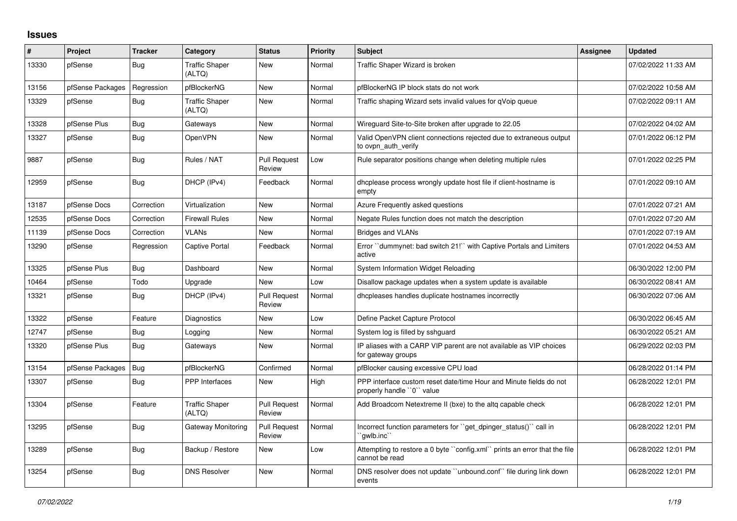## **Issues**

| #     | Project          | <b>Tracker</b> | Category                        | <b>Status</b>                 | <b>Priority</b> | <b>Subject</b>                                                                                  | Assignee | <b>Updated</b>      |
|-------|------------------|----------------|---------------------------------|-------------------------------|-----------------|-------------------------------------------------------------------------------------------------|----------|---------------------|
| 13330 | pfSense          | Bug            | <b>Traffic Shaper</b><br>(ALTQ) | New                           | Normal          | Traffic Shaper Wizard is broken                                                                 |          | 07/02/2022 11:33 AM |
| 13156 | pfSense Packages | Regression     | pfBlockerNG                     | New                           | Normal          | pfBlockerNG IP block stats do not work                                                          |          | 07/02/2022 10:58 AM |
| 13329 | pfSense          | Bug            | <b>Traffic Shaper</b><br>(ALTQ) | New                           | Normal          | Traffic shaping Wizard sets invalid values for qVoip queue                                      |          | 07/02/2022 09:11 AM |
| 13328 | pfSense Plus     | <b>Bug</b>     | Gateways                        | New                           | Normal          | Wireguard Site-to-Site broken after upgrade to 22.05                                            |          | 07/02/2022 04:02 AM |
| 13327 | pfSense          | <b>Bug</b>     | OpenVPN                         | New                           | Normal          | Valid OpenVPN client connections rejected due to extraneous output<br>to ovpn auth verify       |          | 07/01/2022 06:12 PM |
| 9887  | pfSense          | <b>Bug</b>     | Rules / NAT                     | <b>Pull Request</b><br>Review | Low             | Rule separator positions change when deleting multiple rules                                    |          | 07/01/2022 02:25 PM |
| 12959 | pfSense          | Bug            | DHCP (IPv4)                     | Feedback                      | Normal          | dhoplease process wrongly update host file if client-hostname is<br>empty                       |          | 07/01/2022 09:10 AM |
| 13187 | pfSense Docs     | Correction     | Virtualization                  | New                           | Normal          | Azure Frequently asked questions                                                                |          | 07/01/2022 07:21 AM |
| 12535 | pfSense Docs     | Correction     | <b>Firewall Rules</b>           | <b>New</b>                    | Normal          | Negate Rules function does not match the description                                            |          | 07/01/2022 07:20 AM |
| 11139 | pfSense Docs     | Correction     | <b>VLANs</b>                    | New                           | Normal          | <b>Bridges and VLANs</b>                                                                        |          | 07/01/2022 07:19 AM |
| 13290 | pfSense          | Regression     | Captive Portal                  | Feedback                      | Normal          | Error ``dummynet: bad switch 21!`` with Captive Portals and Limiters<br>active                  |          | 07/01/2022 04:53 AM |
| 13325 | pfSense Plus     | <b>Bug</b>     | Dashboard                       | New                           | Normal          | System Information Widget Reloading                                                             |          | 06/30/2022 12:00 PM |
| 10464 | pfSense          | Todo           | Upgrade                         | <b>New</b>                    | Low             | Disallow package updates when a system update is available                                      |          | 06/30/2022 08:41 AM |
| 13321 | pfSense          | <b>Bug</b>     | DHCP (IPv4)                     | Pull Request<br>Review        | Normal          | dhcpleases handles duplicate hostnames incorrectly                                              |          | 06/30/2022 07:06 AM |
| 13322 | pfSense          | Feature        | Diagnostics                     | New                           | Low             | Define Packet Capture Protocol                                                                  |          | 06/30/2022 06:45 AM |
| 12747 | pfSense          | <b>Bug</b>     | Logging                         | <b>New</b>                    | Normal          | System log is filled by sshguard                                                                |          | 06/30/2022 05:21 AM |
| 13320 | pfSense Plus     | <b>Bug</b>     | Gateways                        | New                           | Normal          | IP aliases with a CARP VIP parent are not available as VIP choices<br>for gateway groups        |          | 06/29/2022 02:03 PM |
| 13154 | pfSense Packages | $\vert$ Bug    | pfBlockerNG                     | Confirmed                     | Normal          | pfBlocker causing excessive CPU load                                                            |          | 06/28/2022 01:14 PM |
| 13307 | pfSense          | Bug            | <b>PPP</b> Interfaces           | <b>New</b>                    | High            | PPP interface custom reset date/time Hour and Minute fields do not<br>properly handle "0" value |          | 06/28/2022 12:01 PM |
| 13304 | pfSense          | Feature        | <b>Traffic Shaper</b><br>(ALTQ) | <b>Pull Request</b><br>Review | Normal          | Add Broadcom Netextreme II (bxe) to the altg capable check                                      |          | 06/28/2022 12:01 PM |
| 13295 | pfSense          | Bug            | Gateway Monitoring              | <b>Pull Request</b><br>Review | Normal          | Incorrect function parameters for "get_dpinger_status()" call in<br>`awlb.inc``                 |          | 06/28/2022 12:01 PM |
| 13289 | pfSense          | <b>Bug</b>     | Backup / Restore                | New                           | Low             | Attempting to restore a 0 byte "config.xml" prints an error that the file<br>cannot be read     |          | 06/28/2022 12:01 PM |
| 13254 | pfSense          | Bug            | <b>DNS Resolver</b>             | <b>New</b>                    | Normal          | DNS resolver does not update "unbound.conf" file during link down<br>events                     |          | 06/28/2022 12:01 PM |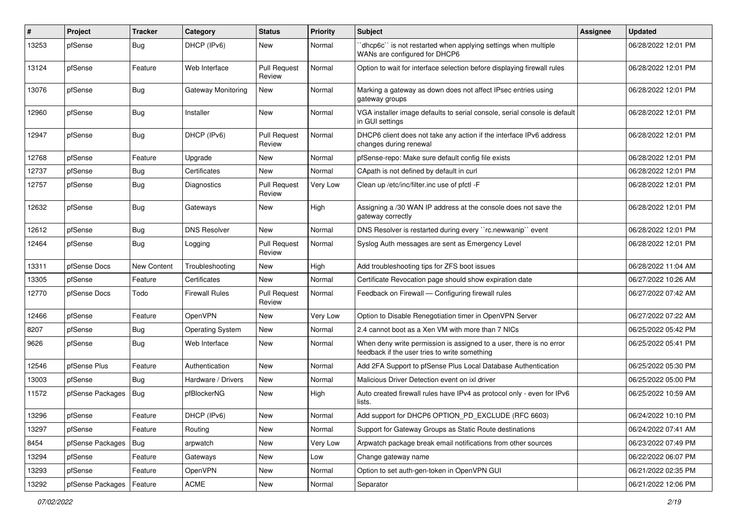| #     | Project          | <b>Tracker</b>     | Category                  | <b>Status</b>                 | <b>Priority</b> | <b>Subject</b>                                                                                                       | Assignee | <b>Updated</b>      |
|-------|------------------|--------------------|---------------------------|-------------------------------|-----------------|----------------------------------------------------------------------------------------------------------------------|----------|---------------------|
| 13253 | pfSense          | <b>Bug</b>         | DHCP (IPv6)               | New                           | Normal          | 'dhcp6c'' is not restarted when applying settings when multiple<br>WANs are configured for DHCP6                     |          | 06/28/2022 12:01 PM |
| 13124 | pfSense          | Feature            | Web Interface             | <b>Pull Request</b><br>Review | Normal          | Option to wait for interface selection before displaying firewall rules                                              |          | 06/28/2022 12:01 PM |
| 13076 | pfSense          | <b>Bug</b>         | <b>Gateway Monitoring</b> | New                           | Normal          | Marking a gateway as down does not affect IPsec entries using<br>gateway groups                                      |          | 06/28/2022 12:01 PM |
| 12960 | pfSense          | <b>Bug</b>         | Installer                 | New                           | Normal          | VGA installer image defaults to serial console, serial console is default<br>in GUI settings                         |          | 06/28/2022 12:01 PM |
| 12947 | pfSense          | Bug                | DHCP (IPv6)               | Pull Request<br>Review        | Normal          | DHCP6 client does not take any action if the interface IPv6 address<br>changes during renewal                        |          | 06/28/2022 12:01 PM |
| 12768 | pfSense          | Feature            | Upgrade                   | New                           | Normal          | pfSense-repo: Make sure default config file exists                                                                   |          | 06/28/2022 12:01 PM |
| 12737 | pfSense          | <b>Bug</b>         | Certificates              | New                           | Normal          | CApath is not defined by default in curl                                                                             |          | 06/28/2022 12:01 PM |
| 12757 | pfSense          | <b>Bug</b>         | Diagnostics               | Pull Request<br>Review        | Very Low        | Clean up /etc/inc/filter.inc use of pfctl -F                                                                         |          | 06/28/2022 12:01 PM |
| 12632 | pfSense          | <b>Bug</b>         | Gateways                  | New                           | High            | Assigning a /30 WAN IP address at the console does not save the<br>gateway correctly                                 |          | 06/28/2022 12:01 PM |
| 12612 | pfSense          | <b>Bug</b>         | <b>DNS Resolver</b>       | <b>New</b>                    | Normal          | DNS Resolver is restarted during every "rc.newwanip" event                                                           |          | 06/28/2022 12:01 PM |
| 12464 | pfSense          | Bug                | Logging                   | <b>Pull Request</b><br>Review | Normal          | Syslog Auth messages are sent as Emergency Level                                                                     |          | 06/28/2022 12:01 PM |
| 13311 | pfSense Docs     | <b>New Content</b> | Troubleshooting           | New                           | High            | Add troubleshooting tips for ZFS boot issues                                                                         |          | 06/28/2022 11:04 AM |
| 13305 | pfSense          | Feature            | Certificates              | <b>New</b>                    | Normal          | Certificate Revocation page should show expiration date                                                              |          | 06/27/2022 10:26 AM |
| 12770 | pfSense Docs     | Todo               | <b>Firewall Rules</b>     | <b>Pull Request</b><br>Review | Normal          | Feedback on Firewall - Configuring firewall rules                                                                    |          | 06/27/2022 07:42 AM |
| 12466 | pfSense          | Feature            | OpenVPN                   | New                           | Very Low        | Option to Disable Renegotiation timer in OpenVPN Server                                                              |          | 06/27/2022 07:22 AM |
| 8207  | pfSense          | Bug                | <b>Operating System</b>   | New                           | Normal          | 2.4 cannot boot as a Xen VM with more than 7 NICs                                                                    |          | 06/25/2022 05:42 PM |
| 9626  | pfSense          | <b>Bug</b>         | Web Interface             | New                           | Normal          | When deny write permission is assigned to a user, there is no error<br>feedback if the user tries to write something |          | 06/25/2022 05:41 PM |
| 12546 | pfSense Plus     | Feature            | Authentication            | New                           | Normal          | Add 2FA Support to pfSense Plus Local Database Authentication                                                        |          | 06/25/2022 05:30 PM |
| 13003 | pfSense          | Bug                | Hardware / Drivers        | New                           | Normal          | Malicious Driver Detection event on ixl driver                                                                       |          | 06/25/2022 05:00 PM |
| 11572 | pfSense Packages | Bug                | pfBlockerNG               | New                           | High            | Auto created firewall rules have IPv4 as protocol only - even for IPv6<br>lists.                                     |          | 06/25/2022 10:59 AM |
| 13296 | pfSense          | Feature            | DHCP (IPv6)               | New                           | Normal          | Add support for DHCP6 OPTION_PD_EXCLUDE (RFC 6603)                                                                   |          | 06/24/2022 10:10 PM |
| 13297 | pfSense          | Feature            | Routing                   | New                           | Normal          | Support for Gateway Groups as Static Route destinations                                                              |          | 06/24/2022 07:41 AM |
| 8454  | pfSense Packages | Bug                | arpwatch                  | New                           | Very Low        | Arpwatch package break email notifications from other sources                                                        |          | 06/23/2022 07:49 PM |
| 13294 | pfSense          | Feature            | Gateways                  | New                           | Low             | Change gateway name                                                                                                  |          | 06/22/2022 06:07 PM |
| 13293 | pfSense          | Feature            | OpenVPN                   | New                           | Normal          | Option to set auth-gen-token in OpenVPN GUI                                                                          |          | 06/21/2022 02:35 PM |
| 13292 | pfSense Packages | Feature            | ACME                      | New                           | Normal          | Separator                                                                                                            |          | 06/21/2022 12:06 PM |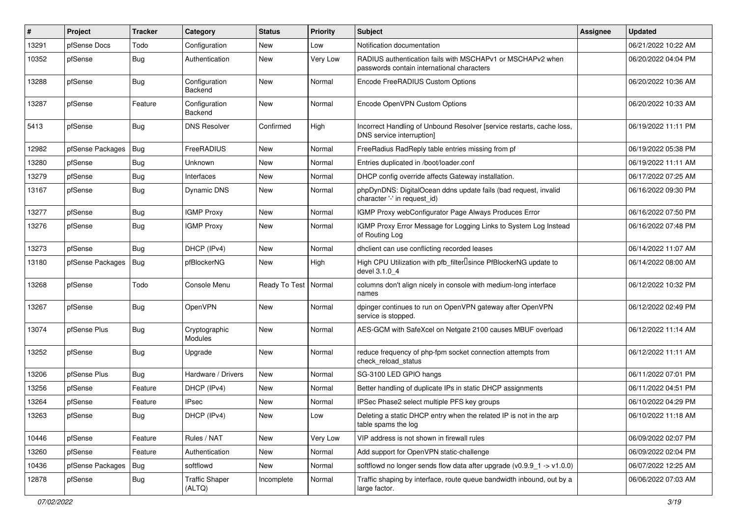| #     | Project          | <b>Tracker</b> | Category                        | <b>Status</b>          | <b>Priority</b> | <b>Subject</b>                                                                                           | <b>Assignee</b> | <b>Updated</b>      |
|-------|------------------|----------------|---------------------------------|------------------------|-----------------|----------------------------------------------------------------------------------------------------------|-----------------|---------------------|
| 13291 | pfSense Docs     | Todo           | Configuration                   | New                    | Low             | Notification documentation                                                                               |                 | 06/21/2022 10:22 AM |
| 10352 | pfSense          | <b>Bug</b>     | Authentication                  | New                    | Very Low        | RADIUS authentication fails with MSCHAPv1 or MSCHAPv2 when<br>passwords contain international characters |                 | 06/20/2022 04:04 PM |
| 13288 | pfSense          | Bug            | Configuration<br>Backend        | New                    | Normal          | Encode FreeRADIUS Custom Options                                                                         |                 | 06/20/2022 10:36 AM |
| 13287 | pfSense          | Feature        | Configuration<br>Backend        | New                    | Normal          | Encode OpenVPN Custom Options                                                                            |                 | 06/20/2022 10:33 AM |
| 5413  | pfSense          | Bug            | <b>DNS Resolver</b>             | Confirmed              | High            | Incorrect Handling of Unbound Resolver [service restarts, cache loss,<br>DNS service interruption]       |                 | 06/19/2022 11:11 PM |
| 12982 | pfSense Packages | Bug            | FreeRADIUS                      | New                    | Normal          | FreeRadius RadReply table entries missing from pf                                                        |                 | 06/19/2022 05:38 PM |
| 13280 | pfSense          | Bug            | Unknown                         | New                    | Normal          | Entries duplicated in /boot/loader.conf                                                                  |                 | 06/19/2022 11:11 AM |
| 13279 | pfSense          | <b>Bug</b>     | Interfaces                      | New                    | Normal          | DHCP config override affects Gateway installation.                                                       |                 | 06/17/2022 07:25 AM |
| 13167 | pfSense          | Bug            | Dynamic DNS                     | New                    | Normal          | phpDynDNS: DigitalOcean ddns update fails (bad request, invalid<br>character '-' in request_id)          |                 | 06/16/2022 09:30 PM |
| 13277 | pfSense          | Bug            | <b>IGMP Proxy</b>               | New                    | Normal          | IGMP Proxy webConfigurator Page Always Produces Error                                                    |                 | 06/16/2022 07:50 PM |
| 13276 | pfSense          | <b>Bug</b>     | <b>IGMP Proxy</b>               | New                    | Normal          | IGMP Proxy Error Message for Logging Links to System Log Instead<br>of Routing Log                       |                 | 06/16/2022 07:48 PM |
| 13273 | pfSense          | <b>Bug</b>     | DHCP (IPv4)                     | New                    | Normal          | dhclient can use conflicting recorded leases                                                             |                 | 06/14/2022 11:07 AM |
| 13180 | pfSense Packages | Bug            | pfBlockerNG                     | New                    | High            | High CPU Utilization with pfb_filter <sup>[]</sup> since PfBlockerNG update to<br>devel 3.1.0 4          |                 | 06/14/2022 08:00 AM |
| 13268 | pfSense          | Todo           | Console Menu                    | Ready To Test   Normal |                 | columns don't align nicely in console with medium-long interface<br>names                                |                 | 06/12/2022 10:32 PM |
| 13267 | pfSense          | Bug            | OpenVPN                         | New                    | Normal          | dpinger continues to run on OpenVPN gateway after OpenVPN<br>service is stopped.                         |                 | 06/12/2022 02:49 PM |
| 13074 | pfSense Plus     | Bug            | Cryptographic<br>Modules        | New                    | Normal          | AES-GCM with SafeXcel on Netgate 2100 causes MBUF overload                                               |                 | 06/12/2022 11:14 AM |
| 13252 | pfSense          | Bug            | Upgrade                         | New                    | Normal          | reduce frequency of php-fpm socket connection attempts from<br>check reload status                       |                 | 06/12/2022 11:11 AM |
| 13206 | pfSense Plus     | Bug            | Hardware / Drivers              | New                    | Normal          | SG-3100 LED GPIO hangs                                                                                   |                 | 06/11/2022 07:01 PM |
| 13256 | pfSense          | Feature        | DHCP (IPv4)                     | New                    | Normal          | Better handling of duplicate IPs in static DHCP assignments                                              |                 | 06/11/2022 04:51 PM |
| 13264 | pfSense          | Feature        | IPsec                           | New                    | Normal          | IPSec Phase2 select multiple PFS key groups                                                              |                 | 06/10/2022 04:29 PM |
| 13263 | pfSense          | Bug            | DHCP (IPv4)                     | New                    | Low             | Deleting a static DHCP entry when the related IP is not in the arp<br>table spams the log                |                 | 06/10/2022 11:18 AM |
| 10446 | pfSense          | Feature        | Rules / NAT                     | New                    | Very Low        | VIP address is not shown in firewall rules                                                               |                 | 06/09/2022 02:07 PM |
| 13260 | pfSense          | Feature        | Authentication                  | New                    | Normal          | Add support for OpenVPN static-challenge                                                                 |                 | 06/09/2022 02:04 PM |
| 10436 | pfSense Packages | <b>Bug</b>     | softflowd                       | New                    | Normal          | softflowd no longer sends flow data after upgrade $(v0.9.9 - 1 - v1.0.0)$                                |                 | 06/07/2022 12:25 AM |
| 12878 | pfSense          | Bug            | <b>Traffic Shaper</b><br>(ALTQ) | Incomplete             | Normal          | Traffic shaping by interface, route queue bandwidth inbound, out by a<br>large factor.                   |                 | 06/06/2022 07:03 AM |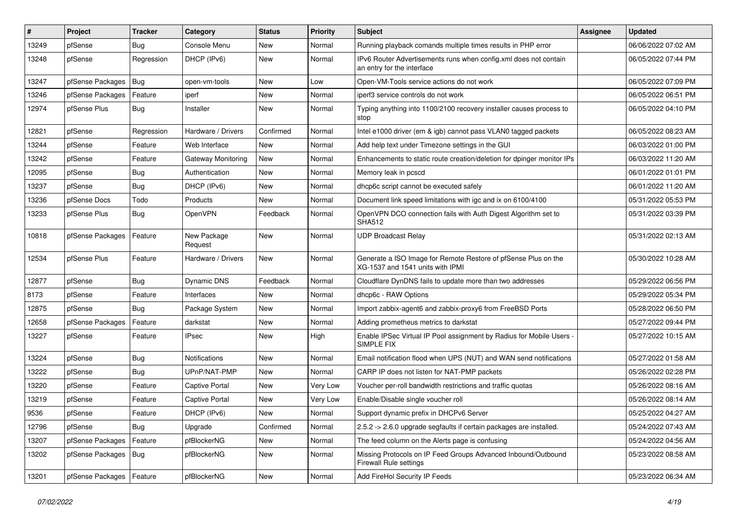| #     | Project          | <b>Tracker</b> | Category                  | <b>Status</b> | <b>Priority</b> | <b>Subject</b>                                                                                     | Assignee | <b>Updated</b>      |
|-------|------------------|----------------|---------------------------|---------------|-----------------|----------------------------------------------------------------------------------------------------|----------|---------------------|
| 13249 | pfSense          | Bug            | Console Menu              | New           | Normal          | Running playback comands multiple times results in PHP error                                       |          | 06/06/2022 07:02 AM |
| 13248 | pfSense          | Regression     | DHCP (IPv6)               | New           | Normal          | IPv6 Router Advertisements runs when config.xml does not contain<br>an entry for the interface     |          | 06/05/2022 07:44 PM |
| 13247 | pfSense Packages | Bug            | open-vm-tools             | <b>New</b>    | Low             | Open-VM-Tools service actions do not work                                                          |          | 06/05/2022 07:09 PM |
| 13246 | pfSense Packages | Feature        | iperf                     | <b>New</b>    | Normal          | iperf3 service controls do not work                                                                |          | 06/05/2022 06:51 PM |
| 12974 | pfSense Plus     | <b>Bug</b>     | Installer                 | New           | Normal          | Typing anything into 1100/2100 recovery installer causes process to<br>stop                        |          | 06/05/2022 04:10 PM |
| 12821 | pfSense          | Regression     | Hardware / Drivers        | Confirmed     | Normal          | Intel e1000 driver (em & igb) cannot pass VLAN0 tagged packets                                     |          | 06/05/2022 08:23 AM |
| 13244 | pfSense          | Feature        | Web Interface             | New           | Normal          | Add help text under Timezone settings in the GUI                                                   |          | 06/03/2022 01:00 PM |
| 13242 | pfSense          | Feature        | <b>Gateway Monitoring</b> | New           | Normal          | Enhancements to static route creation/deletion for dpinger monitor IPs                             |          | 06/03/2022 11:20 AM |
| 12095 | pfSense          | Bug            | Authentication            | New           | Normal          | Memory leak in pcscd                                                                               |          | 06/01/2022 01:01 PM |
| 13237 | pfSense          | <b>Bug</b>     | DHCP (IPv6)               | New           | Normal          | dhcp6c script cannot be executed safely                                                            |          | 06/01/2022 11:20 AM |
| 13236 | pfSense Docs     | Todo           | Products                  | New           | Normal          | Document link speed limitations with igc and ix on 6100/4100                                       |          | 05/31/2022 05:53 PM |
| 13233 | pfSense Plus     | <b>Bug</b>     | OpenVPN                   | Feedback      | Normal          | OpenVPN DCO connection fails with Auth Digest Algorithm set to<br><b>SHA512</b>                    |          | 05/31/2022 03:39 PM |
| 10818 | pfSense Packages | Feature        | New Package<br>Request    | New           | Normal          | <b>UDP Broadcast Relay</b>                                                                         |          | 05/31/2022 02:13 AM |
| 12534 | pfSense Plus     | Feature        | Hardware / Drivers        | New           | Normal          | Generate a ISO Image for Remote Restore of pfSense Plus on the<br>XG-1537 and 1541 units with IPMI |          | 05/30/2022 10:28 AM |
| 12877 | pfSense          | <b>Bug</b>     | Dynamic DNS               | Feedback      | Normal          | Cloudflare DynDNS fails to update more than two addresses                                          |          | 05/29/2022 06:56 PM |
| 8173  | pfSense          | Feature        | Interfaces                | New           | Normal          | dhcp6c - RAW Options                                                                               |          | 05/29/2022 05:34 PM |
| 12875 | pfSense          | <b>Bug</b>     | Package System            | New           | Normal          | Import zabbix-agent6 and zabbix-proxy6 from FreeBSD Ports                                          |          | 05/28/2022 06:50 PM |
| 12658 | pfSense Packages | Feature        | darkstat                  | New           | Normal          | Adding prometheus metrics to darkstat                                                              |          | 05/27/2022 09:44 PM |
| 13227 | pfSense          | Feature        | <b>IPsec</b>              | New           | High            | Enable IPSec Virtual IP Pool assignment by Radius for Mobile Users -<br>SIMPLE FIX                 |          | 05/27/2022 10:15 AM |
| 13224 | pfSense          | Bug            | <b>Notifications</b>      | New           | Normal          | Email notification flood when UPS (NUT) and WAN send notifications                                 |          | 05/27/2022 01:58 AM |
| 13222 | pfSense          | <b>Bug</b>     | UPnP/NAT-PMP              | New           | Normal          | CARP IP does not listen for NAT-PMP packets                                                        |          | 05/26/2022 02:28 PM |
| 13220 | pfSense          | Feature        | <b>Captive Portal</b>     | New           | Very Low        | Voucher per-roll bandwidth restrictions and traffic quotas                                         |          | 05/26/2022 08:16 AM |
| 13219 | pfSense          | Feature        | Captive Portal            | <b>New</b>    | Very Low        | Enable/Disable single voucher roll                                                                 |          | 05/26/2022 08:14 AM |
| 9536  | pfSense          | Feature        | DHCP (IPv6)               | New           | Normal          | Support dynamic prefix in DHCPv6 Server                                                            |          | 05/25/2022 04:27 AM |
| 12796 | pfSense          | Bug            | Upgrade                   | Confirmed     | Normal          | 2.5.2 -> 2.6.0 upgrade segfaults if certain packages are installed.                                |          | 05/24/2022 07:43 AM |
| 13207 | pfSense Packages | Feature        | pfBlockerNG               | New           | Normal          | The feed column on the Alerts page is confusing                                                    |          | 05/24/2022 04:56 AM |
| 13202 | pfSense Packages | Bug            | pfBlockerNG               | New           | Normal          | Missing Protocols on IP Feed Groups Advanced Inbound/Outbound<br>Firewall Rule settings            |          | 05/23/2022 08:58 AM |
| 13201 | pfSense Packages | Feature        | pfBlockerNG               | New           | Normal          | Add FireHol Security IP Feeds                                                                      |          | 05/23/2022 06:34 AM |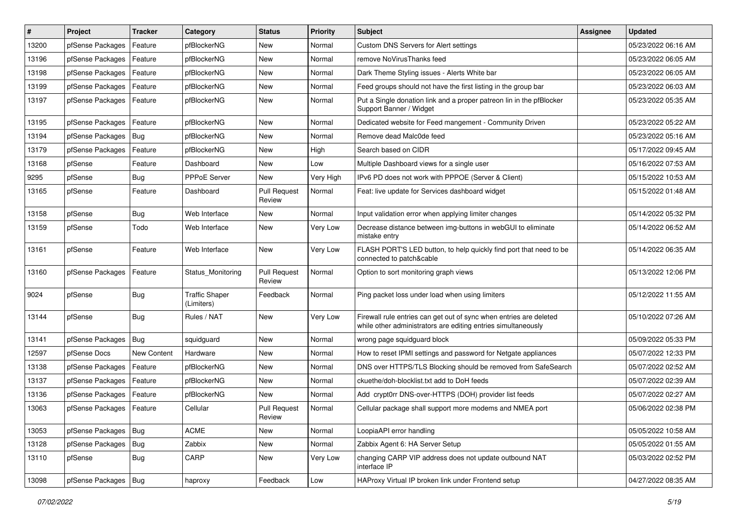| $\vert$ # | Project                | <b>Tracker</b> | Category                            | <b>Status</b>                 | <b>Priority</b> | Subject                                                                                                                             | <b>Assignee</b> | <b>Updated</b>      |
|-----------|------------------------|----------------|-------------------------------------|-------------------------------|-----------------|-------------------------------------------------------------------------------------------------------------------------------------|-----------------|---------------------|
| 13200     | pfSense Packages       | Feature        | pfBlockerNG                         | New                           | Normal          | Custom DNS Servers for Alert settings                                                                                               |                 | 05/23/2022 06:16 AM |
| 13196     | pfSense Packages       | Feature        | pfBlockerNG                         | New                           | Normal          | remove NoVirusThanks feed                                                                                                           |                 | 05/23/2022 06:05 AM |
| 13198     | pfSense Packages       | Feature        | pfBlockerNG                         | New                           | Normal          | Dark Theme Styling issues - Alerts White bar                                                                                        |                 | 05/23/2022 06:05 AM |
| 13199     | pfSense Packages       | Feature        | pfBlockerNG                         | New                           | Normal          | Feed groups should not have the first listing in the group bar                                                                      |                 | 05/23/2022 06:03 AM |
| 13197     | pfSense Packages       | Feature        | pfBlockerNG                         | New                           | Normal          | Put a Single donation link and a proper patreon lin in the pfBlocker<br>Support Banner / Widget                                     |                 | 05/23/2022 05:35 AM |
| 13195     | pfSense Packages       | Feature        | pfBlockerNG                         | New                           | Normal          | Dedicated website for Feed mangement - Community Driven                                                                             |                 | 05/23/2022 05:22 AM |
| 13194     | pfSense Packages       | Bug            | pfBlockerNG                         | New                           | Normal          | Remove dead Malc0de feed                                                                                                            |                 | 05/23/2022 05:16 AM |
| 13179     | pfSense Packages       | Feature        | pfBlockerNG                         | New                           | High            | Search based on CIDR                                                                                                                |                 | 05/17/2022 09:45 AM |
| 13168     | pfSense                | Feature        | Dashboard                           | <b>New</b>                    | Low             | Multiple Dashboard views for a single user                                                                                          |                 | 05/16/2022 07:53 AM |
| 9295      | pfSense                | Bug            | PPPoE Server                        | New                           | Very High       | IPv6 PD does not work with PPPOE (Server & Client)                                                                                  |                 | 05/15/2022 10:53 AM |
| 13165     | pfSense                | Feature        | Dashboard                           | <b>Pull Request</b><br>Review | Normal          | Feat: live update for Services dashboard widget                                                                                     |                 | 05/15/2022 01:48 AM |
| 13158     | pfSense                | <b>Bug</b>     | Web Interface                       | New                           | Normal          | Input validation error when applying limiter changes                                                                                |                 | 05/14/2022 05:32 PM |
| 13159     | pfSense                | Todo           | Web Interface                       | New                           | Very Low        | Decrease distance between img-buttons in webGUI to eliminate<br>mistake entry                                                       |                 | 05/14/2022 06:52 AM |
| 13161     | pfSense                | Feature        | Web Interface                       | New                           | Very Low        | FLASH PORT'S LED button, to help quickly find port that need to be<br>connected to patch&cable                                      |                 | 05/14/2022 06:35 AM |
| 13160     | pfSense Packages       | Feature        | Status Monitoring                   | Pull Request<br>Review        | Normal          | Option to sort monitoring graph views                                                                                               |                 | 05/13/2022 12:06 PM |
| 9024      | pfSense                | Bug            | <b>Traffic Shaper</b><br>(Limiters) | Feedback                      | Normal          | Ping packet loss under load when using limiters                                                                                     |                 | 05/12/2022 11:55 AM |
| 13144     | pfSense                | Bug            | Rules / NAT                         | New                           | Very Low        | Firewall rule entries can get out of sync when entries are deleted<br>while other administrators are editing entries simultaneously |                 | 05/10/2022 07:26 AM |
| 13141     | pfSense Packages       | Bug            | squidguard                          | New                           | Normal          | wrong page squidguard block                                                                                                         |                 | 05/09/2022 05:33 PM |
| 12597     | pfSense Docs           | New Content    | Hardware                            | New                           | Normal          | How to reset IPMI settings and password for Netgate appliances                                                                      |                 | 05/07/2022 12:33 PM |
| 13138     | pfSense Packages       | Feature        | pfBlockerNG                         | New                           | Normal          | DNS over HTTPS/TLS Blocking should be removed from SafeSearch                                                                       |                 | 05/07/2022 02:52 AM |
| 13137     | pfSense Packages       | Feature        | pfBlockerNG                         | New                           | Normal          | ckuethe/doh-blocklist.txt add to DoH feeds                                                                                          |                 | 05/07/2022 02:39 AM |
| 13136     | pfSense Packages       | Feature        | pfBlockerNG                         | New                           | Normal          | Add crypt0rr DNS-over-HTTPS (DOH) provider list feeds                                                                               |                 | 05/07/2022 02:27 AM |
| 13063     | pfSense Packages       | Feature        | Cellular                            | <b>Pull Request</b><br>Review | Normal          | Cellular package shall support more modems and NMEA port                                                                            |                 | 05/06/2022 02:38 PM |
| 13053     | pfSense Packages       | Bug            | <b>ACME</b>                         | New                           | Normal          | LoopiaAPI error handling                                                                                                            |                 | 05/05/2022 10:58 AM |
| 13128     | pfSense Packages       | Bug            | Zabbix                              | New                           | Normal          | Zabbix Agent 6: HA Server Setup                                                                                                     |                 | 05/05/2022 01:55 AM |
| 13110     | pfSense                | <b>Bug</b>     | CARP                                | New                           | Very Low        | changing CARP VIP address does not update outbound NAT<br>interface IP                                                              |                 | 05/03/2022 02:52 PM |
| 13098     | pfSense Packages   Bug |                | haproxy                             | Feedback                      | Low             | HAProxy Virtual IP broken link under Frontend setup                                                                                 |                 | 04/27/2022 08:35 AM |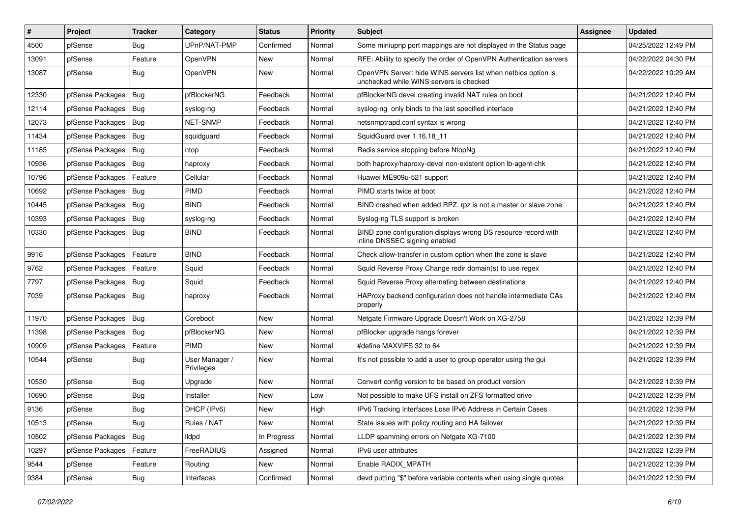| $\vert$ # | Project                | <b>Tracker</b> | Category                     | <b>Status</b> | <b>Priority</b> | Subject                                                                                                  | <b>Assignee</b> | <b>Updated</b>      |
|-----------|------------------------|----------------|------------------------------|---------------|-----------------|----------------------------------------------------------------------------------------------------------|-----------------|---------------------|
| 4500      | pfSense                | Bug            | UPnP/NAT-PMP                 | Confirmed     | Normal          | Some miniupnp port mappings are not displayed in the Status page                                         |                 | 04/25/2022 12:49 PM |
| 13091     | pfSense                | Feature        | OpenVPN                      | New           | Normal          | RFE: Ability to specify the order of OpenVPN Authentication servers                                      |                 | 04/22/2022 04:30 PM |
| 13087     | pfSense                | Bug            | OpenVPN                      | New           | Normal          | OpenVPN Server: hide WINS servers list when netbios option is<br>unchecked while WINS servers is checked |                 | 04/22/2022 10:29 AM |
| 12330     | pfSense Packages       | Bug            | pfBlockerNG                  | Feedback      | Normal          | pfBlockerNG devel creating invalid NAT rules on boot                                                     |                 | 04/21/2022 12:40 PM |
| 12114     | pfSense Packages       | Bug            | syslog-ng                    | Feedback      | Normal          | syslog-ng only binds to the last specified interface                                                     |                 | 04/21/2022 12:40 PM |
| 12073     | pfSense Packages   Bug |                | <b>NET-SNMP</b>              | Feedback      | Normal          | netsnmptrapd.conf syntax is wrong                                                                        |                 | 04/21/2022 12:40 PM |
| 11434     | pfSense Packages       | Bug            | squidguard                   | Feedback      | Normal          | SquidGuard over 1.16.18 11                                                                               |                 | 04/21/2022 12:40 PM |
| 11185     | pfSense Packages       | Bug            | ntop                         | Feedback      | Normal          | Redis service stopping before NtopNg                                                                     |                 | 04/21/2022 12:40 PM |
| 10936     | pfSense Packages       | $ $ Bug        | haproxy                      | Feedback      | Normal          | both haproxy/haproxy-devel non-existent option lb-agent-chk                                              |                 | 04/21/2022 12:40 PM |
| 10796     | pfSense Packages       | Feature        | Cellular                     | Feedback      | Normal          | Huawei ME909u-521 support                                                                                |                 | 04/21/2022 12:40 PM |
| 10692     | pfSense Packages   Bug |                | <b>PIMD</b>                  | Feedback      | Normal          | PIMD starts twice at boot                                                                                |                 | 04/21/2022 12:40 PM |
| 10445     | pfSense Packages       | $\vert$ Bug    | <b>BIND</b>                  | Feedback      | Normal          | BIND crashed when added RPZ. rpz is not a master or slave zone.                                          |                 | 04/21/2022 12:40 PM |
| 10393     | pfSense Packages       | $ $ Bug        | syslog-ng                    | Feedback      | Normal          | Syslog-ng TLS support is broken                                                                          |                 | 04/21/2022 12:40 PM |
| 10330     | pfSense Packages   Bug |                | <b>BIND</b>                  | Feedback      | Normal          | BIND zone configuration displays wrong DS resource record with<br>inline DNSSEC signing enabled          |                 | 04/21/2022 12:40 PM |
| 9916      | pfSense Packages       | Feature        | <b>BIND</b>                  | Feedback      | Normal          | Check allow-transfer in custom option when the zone is slave                                             |                 | 04/21/2022 12:40 PM |
| 9762      | pfSense Packages       | Feature        | Squid                        | Feedback      | Normal          | Squid Reverse Proxy Change redir domain(s) to use regex                                                  |                 | 04/21/2022 12:40 PM |
| 7797      | pfSense Packages       | Bug            | Squid                        | Feedback      | Normal          | Squid Reverse Proxy alternating between destinations                                                     |                 | 04/21/2022 12:40 PM |
| 7039      | pfSense Packages   Bug |                | haproxy                      | Feedback      | Normal          | HAProxy backend configuration does not handle intermediate CAs<br>properly                               |                 | 04/21/2022 12:40 PM |
| 11970     | pfSense Packages       | $ $ Bug        | Coreboot                     | New           | Normal          | Netgate Firmware Upgrade Doesn't Work on XG-2758                                                         |                 | 04/21/2022 12:39 PM |
| 11398     | pfSense Packages       | $ $ Bug        | pfBlockerNG                  | New           | Normal          | pfBlocker upgrade hangs forever                                                                          |                 | 04/21/2022 12:39 PM |
| 10909     | pfSense Packages       | Feature        | <b>PIMD</b>                  | New           | Normal          | #define MAXVIFS 32 to 64                                                                                 |                 | 04/21/2022 12:39 PM |
| 10544     | pfSense                | <b>Bug</b>     | User Manager /<br>Privileges | New           | Normal          | It's not possible to add a user to group operator using the gui                                          |                 | 04/21/2022 12:39 PM |
| 10530     | pfSense                | <b>Bug</b>     | Upgrade                      | New           | Normal          | Convert config version to be based on product version                                                    |                 | 04/21/2022 12:39 PM |
| 10690     | pfSense                | Bug            | Installer                    | New           | Low             | Not possible to make UFS install on ZFS formatted drive                                                  |                 | 04/21/2022 12:39 PM |
| 9136      | pfSense                | <b>Bug</b>     | DHCP (IPv6)                  | New           | High            | IPv6 Tracking Interfaces Lose IPv6 Address in Certain Cases                                              |                 | 04/21/2022 12:39 PM |
| 10513     | pfSense                | <b>Bug</b>     | Rules / NAT                  | New           | Normal          | State issues with policy routing and HA failover                                                         |                 | 04/21/2022 12:39 PM |
| 10502     | pfSense Packages       | Bug            | <b>Ildpd</b>                 | In Progress   | Normal          | LLDP spamming errors on Netgate XG-7100                                                                  |                 | 04/21/2022 12:39 PM |
| 10297     | pfSense Packages       | Feature        | FreeRADIUS                   | Assigned      | Normal          | IPv6 user attributes                                                                                     |                 | 04/21/2022 12:39 PM |
| 9544      | pfSense                | Feature        | Routing                      | New           | Normal          | Enable RADIX_MPATH                                                                                       |                 | 04/21/2022 12:39 PM |
| 9384      | pfSense                | <b>Bug</b>     | Interfaces                   | Confirmed     | Normal          | devd putting "\$" before variable contents when using single quotes                                      |                 | 04/21/2022 12:39 PM |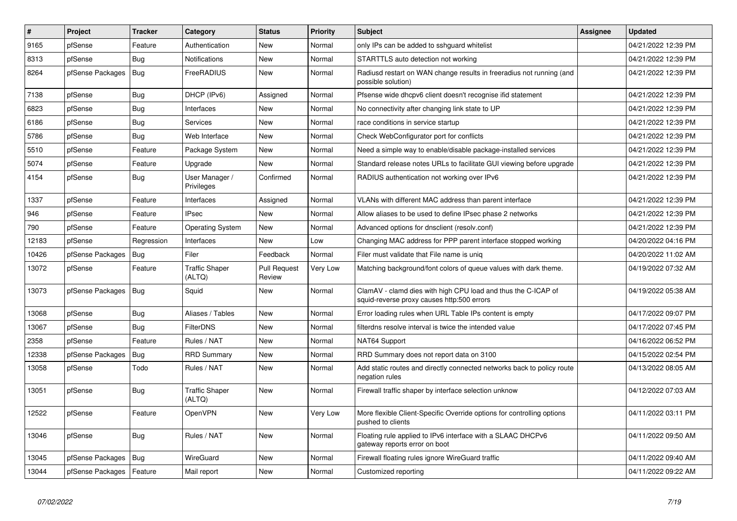| $\vert$ # | <b>Project</b>             | <b>Tracker</b> | Category                        | <b>Status</b>                 | <b>Priority</b> | <b>Subject</b>                                                                                              | <b>Assignee</b> | <b>Updated</b>      |
|-----------|----------------------------|----------------|---------------------------------|-------------------------------|-----------------|-------------------------------------------------------------------------------------------------------------|-----------------|---------------------|
| 9165      | pfSense                    | Feature        | Authentication                  | New                           | Normal          | only IPs can be added to sshguard whitelist                                                                 |                 | 04/21/2022 12:39 PM |
| 8313      | pfSense                    | Bug            | <b>Notifications</b>            | New                           | Normal          | STARTTLS auto detection not working                                                                         |                 | 04/21/2022 12:39 PM |
| 8264      | pfSense Packages   Bug     |                | FreeRADIUS                      | <b>New</b>                    | Normal          | Radiusd restart on WAN change results in freeradius not running (and<br>possible solution)                  |                 | 04/21/2022 12:39 PM |
| 7138      | pfSense                    | <b>Bug</b>     | DHCP (IPv6)                     | Assigned                      | Normal          | Pfsense wide dhcpv6 client doesn't recognise if id statement                                                |                 | 04/21/2022 12:39 PM |
| 6823      | pfSense                    | <b>Bug</b>     | Interfaces                      | New                           | Normal          | No connectivity after changing link state to UP                                                             |                 | 04/21/2022 12:39 PM |
| 6186      | pfSense                    | <b>Bug</b>     | Services                        | New                           | Normal          | race conditions in service startup                                                                          |                 | 04/21/2022 12:39 PM |
| 5786      | pfSense                    | <b>Bug</b>     | Web Interface                   | New                           | Normal          | Check WebConfigurator port for conflicts                                                                    |                 | 04/21/2022 12:39 PM |
| 5510      | pfSense                    | Feature        | Package System                  | New                           | Normal          | Need a simple way to enable/disable package-installed services                                              |                 | 04/21/2022 12:39 PM |
| 5074      | pfSense                    | Feature        | Upgrade                         | New                           | Normal          | Standard release notes URLs to facilitate GUI viewing before upgrade                                        |                 | 04/21/2022 12:39 PM |
| 4154      | pfSense                    | <b>Bug</b>     | User Manager /<br>Privileges    | Confirmed                     | Normal          | RADIUS authentication not working over IPv6                                                                 |                 | 04/21/2022 12:39 PM |
| 1337      | pfSense                    | Feature        | Interfaces                      | Assigned                      | Normal          | VLANs with different MAC address than parent interface                                                      |                 | 04/21/2022 12:39 PM |
| 946       | pfSense                    | Feature        | <b>IPsec</b>                    | New                           | Normal          | Allow aliases to be used to define IPsec phase 2 networks                                                   |                 | 04/21/2022 12:39 PM |
| 790       | pfSense                    | Feature        | <b>Operating System</b>         | New                           | Normal          | Advanced options for dnsclient (resolv.conf)                                                                |                 | 04/21/2022 12:39 PM |
| 12183     | pfSense                    | Regression     | Interfaces                      | New                           | Low             | Changing MAC address for PPP parent interface stopped working                                               |                 | 04/20/2022 04:16 PM |
| 10426     | pfSense Packages           | Bug            | Filer                           | Feedback                      | Normal          | Filer must validate that File name is uniq                                                                  |                 | 04/20/2022 11:02 AM |
| 13072     | pfSense                    | Feature        | <b>Traffic Shaper</b><br>(ALTQ) | <b>Pull Request</b><br>Review | Very Low        | Matching background/font colors of queue values with dark theme.                                            |                 | 04/19/2022 07:32 AM |
| 13073     | pfSense Packages   Bug     |                | Squid                           | New                           | Normal          | ClamAV - clamd dies with high CPU load and thus the C-ICAP of<br>squid-reverse proxy causes http:500 errors |                 | 04/19/2022 05:38 AM |
| 13068     | pfSense                    | <b>Bug</b>     | Aliases / Tables                | New                           | Normal          | Error loading rules when URL Table IPs content is empty                                                     |                 | 04/17/2022 09:07 PM |
| 13067     | pfSense                    | Bug            | FilterDNS                       | New                           | Normal          | filterdns resolve interval is twice the intended value                                                      |                 | 04/17/2022 07:45 PM |
| 2358      | pfSense                    | Feature        | Rules / NAT                     | New                           | Normal          | NAT64 Support                                                                                               |                 | 04/16/2022 06:52 PM |
| 12338     | pfSense Packages           | <b>Bug</b>     | <b>RRD Summary</b>              | New                           | Normal          | RRD Summary does not report data on 3100                                                                    |                 | 04/15/2022 02:54 PM |
| 13058     | pfSense                    | Todo           | Rules / NAT                     | New                           | Normal          | Add static routes and directly connected networks back to policy route<br>negation rules                    |                 | 04/13/2022 08:05 AM |
| 13051     | pfSense                    | Bug            | <b>Traffic Shaper</b><br>(ALTQ) | New                           | Normal          | Firewall traffic shaper by interface selection unknow                                                       |                 | 04/12/2022 07:03 AM |
| 12522     | pfSense                    | Feature        | OpenVPN                         | New                           | Very Low        | More flexible Client-Specific Override options for controlling options<br>pushed to clients                 |                 | 04/11/2022 03:11 PM |
| 13046     | pfSense                    | <b>Bug</b>     | Rules / NAT                     | <b>New</b>                    | Normal          | Floating rule applied to IPv6 interface with a SLAAC DHCPv6<br>gateway reports error on boot                |                 | 04/11/2022 09:50 AM |
| 13045     | pfSense Packages           | Bug            | WireGuard                       | New                           | Normal          | Firewall floating rules ignore WireGuard traffic                                                            |                 | 04/11/2022 09:40 AM |
| 13044     | pfSense Packages   Feature |                | Mail report                     | New                           | Normal          | Customized reporting                                                                                        |                 | 04/11/2022 09:22 AM |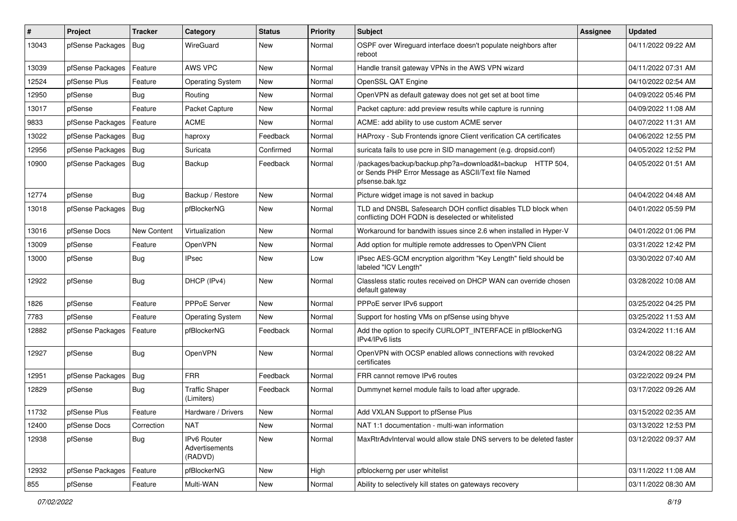| $\vert$ # | Project                | <b>Tracker</b>     | Category                                 | <b>Status</b> | Priority | Subject                                                                                                                             | <b>Assignee</b> | <b>Updated</b>      |
|-----------|------------------------|--------------------|------------------------------------------|---------------|----------|-------------------------------------------------------------------------------------------------------------------------------------|-----------------|---------------------|
| 13043     | pfSense Packages       | Bug                | WireGuard                                | New           | Normal   | OSPF over Wireguard interface doesn't populate neighbors after<br>reboot                                                            |                 | 04/11/2022 09:22 AM |
| 13039     | pfSense Packages       | Feature            | AWS VPC                                  | New           | Normal   | Handle transit gateway VPNs in the AWS VPN wizard                                                                                   |                 | 04/11/2022 07:31 AM |
| 12524     | pfSense Plus           | Feature            | <b>Operating System</b>                  | New           | Normal   | OpenSSL QAT Engine                                                                                                                  |                 | 04/10/2022 02:54 AM |
| 12950     | pfSense                | Bug                | Routing                                  | New           | Normal   | OpenVPN as default gateway does not get set at boot time                                                                            |                 | 04/09/2022 05:46 PM |
| 13017     | pfSense                | Feature            | Packet Capture                           | New           | Normal   | Packet capture: add preview results while capture is running                                                                        |                 | 04/09/2022 11:08 AM |
| 9833      | pfSense Packages       | Feature            | <b>ACME</b>                              | New           | Normal   | ACME: add ability to use custom ACME server                                                                                         |                 | 04/07/2022 11:31 AM |
| 13022     | pfSense Packages       | Bug                | haproxy                                  | Feedback      | Normal   | HAProxy - Sub Frontends ignore Client verification CA certificates                                                                  |                 | 04/06/2022 12:55 PM |
| 12956     | pfSense Packages       | Bug                | Suricata                                 | Confirmed     | Normal   | suricata fails to use pcre in SID management (e.g. dropsid.conf)                                                                    |                 | 04/05/2022 12:52 PM |
| 10900     | pfSense Packages   Bug |                    | Backup                                   | Feedback      | Normal   | /packages/backup/backup.php?a=download&t=backup HTTP 504,<br>or Sends PHP Error Message as ASCII/Text file Named<br>pfsense.bak.tgz |                 | 04/05/2022 01:51 AM |
| 12774     | pfSense                | Bug                | Backup / Restore                         | New           | Normal   | Picture widget image is not saved in backup                                                                                         |                 | 04/04/2022 04:48 AM |
| 13018     | pfSense Packages       | Bug                | pfBlockerNG                              | New           | Normal   | TLD and DNSBL Safesearch DOH conflict disables TLD block when<br>conflicting DOH FQDN is deselected or whitelisted                  |                 | 04/01/2022 05:59 PM |
| 13016     | pfSense Docs           | <b>New Content</b> | Virtualization                           | New           | Normal   | Workaround for bandwith issues since 2.6 when installed in Hyper-V                                                                  |                 | 04/01/2022 01:06 PM |
| 13009     | pfSense                | Feature            | OpenVPN                                  | New           | Normal   | Add option for multiple remote addresses to OpenVPN Client                                                                          |                 | 03/31/2022 12:42 PM |
| 13000     | pfSense                | <b>Bug</b>         | <b>IPsec</b>                             | New           | Low      | IPsec AES-GCM encryption algorithm "Key Length" field should be<br>labeled "ICV Length"                                             |                 | 03/30/2022 07:40 AM |
| 12922     | pfSense                | <b>Bug</b>         | DHCP (IPv4)                              | New           | Normal   | Classless static routes received on DHCP WAN can override chosen<br>default gateway                                                 |                 | 03/28/2022 10:08 AM |
| 1826      | pfSense                | Feature            | PPPoE Server                             | New           | Normal   | PPPoE server IPv6 support                                                                                                           |                 | 03/25/2022 04:25 PM |
| 7783      | pfSense                | Feature            | <b>Operating System</b>                  | New           | Normal   | Support for hosting VMs on pfSense using bhyve                                                                                      |                 | 03/25/2022 11:53 AM |
| 12882     | pfSense Packages       | Feature            | pfBlockerNG                              | Feedback      | Normal   | Add the option to specify CURLOPT_INTERFACE in pfBlockerNG<br>IPv4/IPv6 lists                                                       |                 | 03/24/2022 11:16 AM |
| 12927     | pfSense                | Bug                | OpenVPN                                  | New           | Normal   | OpenVPN with OCSP enabled allows connections with revoked<br>certificates                                                           |                 | 03/24/2022 08:22 AM |
| 12951     | pfSense Packages   Bug |                    | <b>FRR</b>                               | Feedback      | Normal   | FRR cannot remove IPv6 routes                                                                                                       |                 | 03/22/2022 09:24 PM |
| 12829     | pfSense                | <b>Bug</b>         | <b>Traffic Shaper</b><br>(Limiters)      | Feedback      | Normal   | Dummynet kernel module fails to load after upgrade.                                                                                 |                 | 03/17/2022 09:26 AM |
| 11732     | pfSense Plus           | Feature            | Hardware / Drivers                       | <b>New</b>    | Normal   | Add VXLAN Support to pfSense Plus                                                                                                   |                 | 03/15/2022 02:35 AM |
| 12400     | pfSense Docs           | Correction         | <b>NAT</b>                               | New           | Normal   | NAT 1:1 documentation - multi-wan information                                                                                       |                 | 03/13/2022 12:53 PM |
| 12938     | pfSense                | <b>Bug</b>         | IPv6 Router<br>Advertisements<br>(RADVD) | New           | Normal   | MaxRtrAdvInterval would allow stale DNS servers to be deleted faster                                                                |                 | 03/12/2022 09:37 AM |
| 12932     | pfSense Packages       | Feature            | pfBlockerNG                              | New           | High     | pfblockerng per user whitelist                                                                                                      |                 | 03/11/2022 11:08 AM |
| 855       | pfSense                | Feature            | Multi-WAN                                | New           | Normal   | Ability to selectively kill states on gateways recovery                                                                             |                 | 03/11/2022 08:30 AM |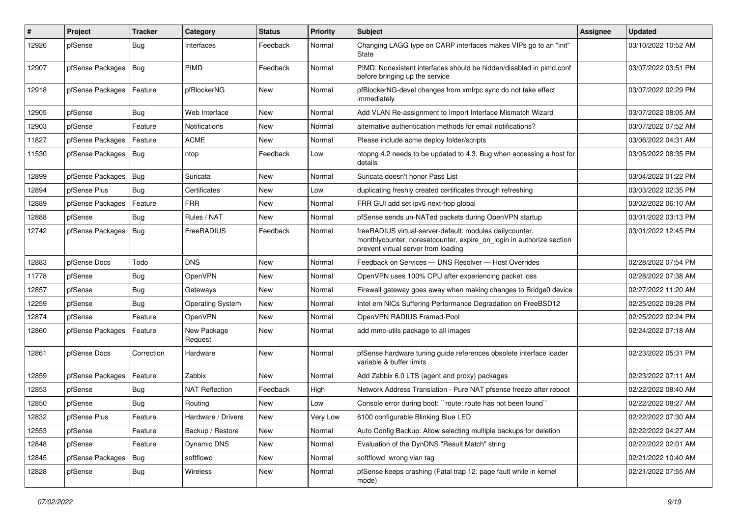| #     | Project          | <b>Tracker</b> | Category                | <b>Status</b> | <b>Priority</b> | <b>Subject</b>                                                                                                                                                          | Assignee | <b>Updated</b>      |
|-------|------------------|----------------|-------------------------|---------------|-----------------|-------------------------------------------------------------------------------------------------------------------------------------------------------------------------|----------|---------------------|
| 12926 | pfSense          | Bug            | Interfaces              | Feedback      | Normal          | Changing LAGG type on CARP interfaces makes VIPs go to an "init"<br>State                                                                                               |          | 03/10/2022 10:52 AM |
| 12907 | pfSense Packages | Bug            | <b>PIMD</b>             | Feedback      | Normal          | PIMD: Nonexistent interfaces should be hidden/disabled in pimd.conf<br>before bringing up the service                                                                   |          | 03/07/2022 03:51 PM |
| 12918 | pfSense Packages | Feature        | pfBlockerNG             | New           | Normal          | pfBlockerNG-devel changes from xmlrpc sync do not take effect<br>immediately                                                                                            |          | 03/07/2022 02:29 PM |
| 12905 | pfSense          | Bug            | Web Interface           | New           | Normal          | Add VLAN Re-assignment to Import Interface Mismatch Wizard                                                                                                              |          | 03/07/2022 08:05 AM |
| 12903 | pfSense          | Feature        | <b>Notifications</b>    | New           | Normal          | alternative authentication methods for email notifications?                                                                                                             |          | 03/07/2022 07:52 AM |
| 11827 | pfSense Packages | Feature        | <b>ACME</b>             | New           | Normal          | Please include acme deploy folder/scripts                                                                                                                               |          | 03/06/2022 04:31 AM |
| 11530 | pfSense Packages | Bug            | ntop                    | Feedback      | Low             | ntopng 4.2 needs to be updated to 4.3, Bug when accessing a host for<br>details                                                                                         |          | 03/05/2022 08:35 PM |
| 12899 | pfSense Packages | Bug            | Suricata                | <b>New</b>    | Normal          | Suricata doesn't honor Pass List                                                                                                                                        |          | 03/04/2022 01:22 PM |
| 12894 | pfSense Plus     | Bug            | Certificates            | New           | Low             | duplicating freshly created certificates through refreshing                                                                                                             |          | 03/03/2022 02:35 PM |
| 12889 | pfSense Packages | Feature        | <b>FRR</b>              | New           | Normal          | FRR GUI add set ipv6 next-hop global                                                                                                                                    |          | 03/02/2022 06:10 AM |
| 12888 | pfSense          | Bug            | Rules / NAT             | New           | Normal          | pfSense sends un-NATed packets during OpenVPN startup                                                                                                                   |          | 03/01/2022 03:13 PM |
| 12742 | pfSense Packages | Bug            | FreeRADIUS              | Feedback      | Normal          | freeRADIUS virtual-server-default: modules dailycounter,<br>monthlycounter, noresetcounter, expire_on_login in authorize section<br>prevent virtual server from loading |          | 03/01/2022 12:45 PM |
| 12883 | pfSense Docs     | Todo           | <b>DNS</b>              | New           | Normal          | Feedback on Services - DNS Resolver - Host Overrides                                                                                                                    |          | 02/28/2022 07:54 PM |
| 11778 | pfSense          | Bug            | OpenVPN                 | New           | Normal          | OpenVPN uses 100% CPU after experiencing packet loss                                                                                                                    |          | 02/28/2022 07:38 AM |
| 12857 | pfSense          | <b>Bug</b>     | Gateways                | New           | Normal          | Firewall gateway goes away when making changes to Bridge0 device                                                                                                        |          | 02/27/2022 11:20 AM |
| 12259 | pfSense          | <b>Bug</b>     | <b>Operating System</b> | New           | Normal          | Intel em NICs Suffering Performance Degradation on FreeBSD12                                                                                                            |          | 02/25/2022 09:28 PM |
| 12874 | pfSense          | Feature        | OpenVPN                 | New           | Normal          | OpenVPN RADIUS Framed-Pool                                                                                                                                              |          | 02/25/2022 02:24 PM |
| 12860 | pfSense Packages | Feature        | New Package<br>Request  | New           | Normal          | add mmc-utils package to all images                                                                                                                                     |          | 02/24/2022 07:18 AM |
| 12861 | pfSense Docs     | Correction     | Hardware                | New           | Normal          | pfSense hardware tuning guide references obsolete interface loader<br>variable & buffer limits                                                                          |          | 02/23/2022 05:31 PM |
| 12859 | pfSense Packages | Feature        | Zabbix                  | <b>New</b>    | Normal          | Add Zabbix 6.0 LTS (agent and proxy) packages                                                                                                                           |          | 02/23/2022 07:11 AM |
| 12853 | pfSense          | Bug            | <b>NAT Reflection</b>   | Feedback      | High            | Network Address Translation - Pure NAT pfsense freeze after reboot                                                                                                      |          | 02/22/2022 08:40 AM |
| 12850 | pfSense          | Bug            | Routing                 | New           | LOW             | Console error during boot: "route: route has not been found"                                                                                                            |          | 02/22/2022 08:27 AM |
| 12832 | pfSense Plus     | Feature        | Hardware / Drivers      | New           | Very Low        | 6100 configurable Blinking Blue LED                                                                                                                                     |          | 02/22/2022 07:30 AM |
| 12553 | pfSense          | Feature        | Backup / Restore        | New           | Normal          | Auto Config Backup: Allow selecting multiple backups for deletion                                                                                                       |          | 02/22/2022 04:27 AM |
| 12848 | pfSense          | Feature        | Dynamic DNS             | New           | Normal          | Evaluation of the DynDNS "Result Match" string                                                                                                                          |          | 02/22/2022 02:01 AM |
| 12845 | pfSense Packages | i Bug          | softflowd               | New           | Normal          | softflowd wrong vlan tag                                                                                                                                                |          | 02/21/2022 10:40 AM |
| 12828 | pfSense          | Bug            | Wireless                | New           | Normal          | pfSense keeps crashing (Fatal trap 12: page fault while in kernel<br>mode)                                                                                              |          | 02/21/2022 07:55 AM |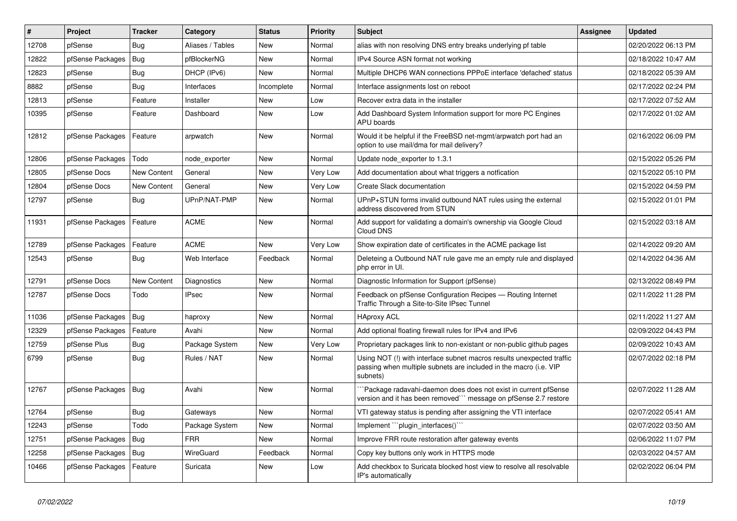| $\vert$ # | Project          | <b>Tracker</b> | Category         | <b>Status</b> | <b>Priority</b> | <b>Subject</b>                                                                                                                                         | <b>Assignee</b> | <b>Updated</b>      |
|-----------|------------------|----------------|------------------|---------------|-----------------|--------------------------------------------------------------------------------------------------------------------------------------------------------|-----------------|---------------------|
| 12708     | pfSense          | Bug            | Aliases / Tables | <b>New</b>    | Normal          | alias with non resolving DNS entry breaks underlying pf table                                                                                          |                 | 02/20/2022 06:13 PM |
| 12822     | pfSense Packages | <b>Bug</b>     | pfBlockerNG      | New           | Normal          | IPv4 Source ASN format not working                                                                                                                     |                 | 02/18/2022 10:47 AM |
| 12823     | pfSense          | <b>Bug</b>     | DHCP (IPv6)      | New           | Normal          | Multiple DHCP6 WAN connections PPPoE interface 'defached' status                                                                                       |                 | 02/18/2022 05:39 AM |
| 8882      | pfSense          | Bug            | Interfaces       | Incomplete    | Normal          | Interface assignments lost on reboot                                                                                                                   |                 | 02/17/2022 02:24 PM |
| 12813     | pfSense          | Feature        | Installer        | New           | Low             | Recover extra data in the installer                                                                                                                    |                 | 02/17/2022 07:52 AM |
| 10395     | pfSense          | Feature        | Dashboard        | New           | Low             | Add Dashboard System Information support for more PC Engines<br>APU boards                                                                             |                 | 02/17/2022 01:02 AM |
| 12812     | pfSense Packages | Feature        | arpwatch         | New           | Normal          | Would it be helpful if the FreeBSD net-mgmt/arpwatch port had an<br>option to use mail/dma for mail delivery?                                          |                 | 02/16/2022 06:09 PM |
| 12806     | pfSense Packages | Todo           | node exporter    | New           | Normal          | Update node exporter to 1.3.1                                                                                                                          |                 | 02/15/2022 05:26 PM |
| 12805     | pfSense Docs     | New Content    | General          | <b>New</b>    | Very Low        | Add documentation about what triggers a notfication                                                                                                    |                 | 02/15/2022 05:10 PM |
| 12804     | pfSense Docs     | New Content    | General          | New           | Very Low        | <b>Create Slack documentation</b>                                                                                                                      |                 | 02/15/2022 04:59 PM |
| 12797     | pfSense          | <b>Bug</b>     | UPnP/NAT-PMP     | New           | Normal          | UPnP+STUN forms invalid outbound NAT rules using the external<br>address discovered from STUN                                                          |                 | 02/15/2022 01:01 PM |
| 11931     | pfSense Packages | Feature        | <b>ACME</b>      | New           | Normal          | Add support for validating a domain's ownership via Google Cloud<br>Cloud DNS                                                                          |                 | 02/15/2022 03:18 AM |
| 12789     | pfSense Packages | Feature        | <b>ACME</b>      | New           | Very Low        | Show expiration date of certificates in the ACME package list                                                                                          |                 | 02/14/2022 09:20 AM |
| 12543     | pfSense          | <b>Bug</b>     | Web Interface    | Feedback      | Normal          | Deleteing a Outbound NAT rule gave me an empty rule and displayed<br>php error in UI.                                                                  |                 | 02/14/2022 04:36 AM |
| 12791     | pfSense Docs     | New Content    | Diagnostics      | <b>New</b>    | Normal          | Diagnostic Information for Support (pfSense)                                                                                                           |                 | 02/13/2022 08:49 PM |
| 12787     | pfSense Docs     | Todo           | <b>IPsec</b>     | <b>New</b>    | Normal          | Feedback on pfSense Configuration Recipes - Routing Internet<br>Traffic Through a Site-to-Site IPsec Tunnel                                            |                 | 02/11/2022 11:28 PM |
| 11036     | pfSense Packages | Bug            | haproxy          | New           | Normal          | <b>HAproxy ACL</b>                                                                                                                                     |                 | 02/11/2022 11:27 AM |
| 12329     | pfSense Packages | Feature        | Avahi            | New           | Normal          | Add optional floating firewall rules for IPv4 and IPv6                                                                                                 |                 | 02/09/2022 04:43 PM |
| 12759     | pfSense Plus     | <b>Bug</b>     | Package System   | New           | Very Low        | Proprietary packages link to non-existant or non-public github pages                                                                                   |                 | 02/09/2022 10:43 AM |
| 6799      | pfSense          | <b>Bug</b>     | Rules / NAT      | New           | Normal          | Using NOT (!) with interface subnet macros results unexpected traffic<br>passing when multiple subnets are included in the macro (i.e. VIP<br>subnets) |                 | 02/07/2022 02:18 PM |
| 12767     | pfSense Packages | <b>Bug</b>     | Avahi            | New           | Normal          | Package radavahi-daemon does does not exist in current pfSense<br>version and it has been removed``` message on pfSense 2.7 restore                    |                 | 02/07/2022 11:28 AM |
| 12764     | pfSense          | <b>Bug</b>     | Gateways         | New           | Normal          | VTI gateway status is pending after assigning the VTI interface                                                                                        |                 | 02/07/2022 05:41 AM |
| 12243     | pfSense          | Todo           | Package System   | New           | Normal          | Implement "plugin_interfaces()"                                                                                                                        |                 | 02/07/2022 03:50 AM |
| 12751     | pfSense Packages | <b>Bug</b>     | <b>FRR</b>       | New           | Normal          | Improve FRR route restoration after gateway events                                                                                                     |                 | 02/06/2022 11:07 PM |
| 12258     | pfSense Packages | Bug            | WireGuard        | Feedback      | Normal          | Copy key buttons only work in HTTPS mode                                                                                                               |                 | 02/03/2022 04:57 AM |
| 10466     | pfSense Packages | Feature        | Suricata         | New           | Low             | Add checkbox to Suricata blocked host view to resolve all resolvable<br>IP's automatically                                                             |                 | 02/02/2022 06:04 PM |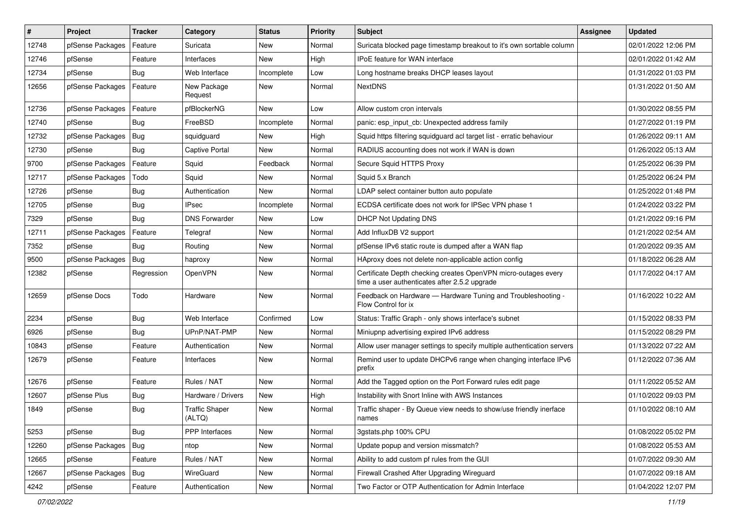| $\pmb{\#}$ | Project                | <b>Tracker</b> | Category                        | <b>Status</b> | <b>Priority</b> | <b>Subject</b>                                                                                                  | <b>Assignee</b> | <b>Updated</b>      |
|------------|------------------------|----------------|---------------------------------|---------------|-----------------|-----------------------------------------------------------------------------------------------------------------|-----------------|---------------------|
| 12748      | pfSense Packages       | Feature        | Suricata                        | New           | Normal          | Suricata blocked page timestamp breakout to it's own sortable column                                            |                 | 02/01/2022 12:06 PM |
| 12746      | pfSense                | Feature        | Interfaces                      | New           | High            | <b>IPoE</b> feature for WAN interface                                                                           |                 | 02/01/2022 01:42 AM |
| 12734      | pfSense                | Bug            | Web Interface                   | Incomplete    | Low             | Long hostname breaks DHCP leases layout                                                                         |                 | 01/31/2022 01:03 PM |
| 12656      | pfSense Packages       | Feature        | New Package<br>Request          | New           | Normal          | <b>NextDNS</b>                                                                                                  |                 | 01/31/2022 01:50 AM |
| 12736      | pfSense Packages       | Feature        | pfBlockerNG                     | New           | Low             | Allow custom cron intervals                                                                                     |                 | 01/30/2022 08:55 PM |
| 12740      | pfSense                | Bug            | FreeBSD                         | Incomplete    | Normal          | panic: esp input cb: Unexpected address family                                                                  |                 | 01/27/2022 01:19 PM |
| 12732      | pfSense Packages       | Bug            | squidguard                      | New           | High            | Squid https filtering squidguard acl target list - erratic behaviour                                            |                 | 01/26/2022 09:11 AM |
| 12730      | pfSense                | <b>Bug</b>     | Captive Portal                  | New           | Normal          | RADIUS accounting does not work if WAN is down                                                                  |                 | 01/26/2022 05:13 AM |
| 9700       | pfSense Packages       | Feature        | Squid                           | Feedback      | Normal          | Secure Squid HTTPS Proxy                                                                                        |                 | 01/25/2022 06:39 PM |
| 12717      | pfSense Packages       | Todo           | Squid                           | New           | Normal          | Squid 5.x Branch                                                                                                |                 | 01/25/2022 06:24 PM |
| 12726      | pfSense                | Bug            | Authentication                  | New           | Normal          | LDAP select container button auto populate                                                                      |                 | 01/25/2022 01:48 PM |
| 12705      | pfSense                | Bug            | <b>IPsec</b>                    | Incomplete    | Normal          | ECDSA certificate does not work for IPSec VPN phase 1                                                           |                 | 01/24/2022 03:22 PM |
| 7329       | pfSense                | Bug            | <b>DNS Forwarder</b>            | New           | Low             | DHCP Not Updating DNS                                                                                           |                 | 01/21/2022 09:16 PM |
| 12711      | pfSense Packages       | Feature        | Telegraf                        | New           | Normal          | Add InfluxDB V2 support                                                                                         |                 | 01/21/2022 02:54 AM |
| 7352       | pfSense                | <b>Bug</b>     | Routing                         | New           | Normal          | pfSense IPv6 static route is dumped after a WAN flap                                                            |                 | 01/20/2022 09:35 AM |
| 9500       | pfSense Packages   Bug |                | haproxy                         | New           | Normal          | HAproxy does not delete non-applicable action config                                                            |                 | 01/18/2022 06:28 AM |
| 12382      | pfSense                | Regression     | OpenVPN                         | New           | Normal          | Certificate Depth checking creates OpenVPN micro-outages every<br>time a user authenticates after 2.5.2 upgrade |                 | 01/17/2022 04:17 AM |
| 12659      | pfSense Docs           | Todo           | Hardware                        | New           | Normal          | Feedback on Hardware - Hardware Tuning and Troubleshooting -<br>Flow Control for ix                             |                 | 01/16/2022 10:22 AM |
| 2234       | pfSense                | <b>Bug</b>     | Web Interface                   | Confirmed     | Low             | Status: Traffic Graph - only shows interface's subnet                                                           |                 | 01/15/2022 08:33 PM |
| 6926       | pfSense                | Bug            | UPnP/NAT-PMP                    | New           | Normal          | Miniupnp advertising expired IPv6 address                                                                       |                 | 01/15/2022 08:29 PM |
| 10843      | pfSense                | Feature        | Authentication                  | New           | Normal          | Allow user manager settings to specify multiple authentication servers                                          |                 | 01/13/2022 07:22 AM |
| 12679      | pfSense                | Feature        | Interfaces                      | New           | Normal          | Remind user to update DHCPv6 range when changing interface IPv6<br>prefix                                       |                 | 01/12/2022 07:36 AM |
| 12676      | pfSense                | Feature        | Rules / NAT                     | New           | Normal          | Add the Tagged option on the Port Forward rules edit page                                                       |                 | 01/11/2022 05:52 AM |
| 12607      | pfSense Plus           | Bug            | Hardware / Drivers              | New           | High            | Instability with Snort Inline with AWS Instances                                                                |                 | 01/10/2022 09:03 PM |
| 1849       | pfSense                | Bug            | <b>Traffic Shaper</b><br>(ALTQ) | New           | Normal          | Traffic shaper - By Queue view needs to show/use friendly inerface<br>names                                     |                 | 01/10/2022 08:10 AM |
| 5253       | pfSense                | Bug            | <b>PPP</b> Interfaces           | New           | Normal          | 3gstats.php 100% CPU                                                                                            |                 | 01/08/2022 05:02 PM |
| 12260      | pfSense Packages       | <b>Bug</b>     | ntop                            | New           | Normal          | Update popup and version missmatch?                                                                             |                 | 01/08/2022 05:53 AM |
| 12665      | pfSense                | Feature        | Rules / NAT                     | New           | Normal          | Ability to add custom pf rules from the GUI                                                                     |                 | 01/07/2022 09:30 AM |
| 12667      | pfSense Packages       | Bug            | WireGuard                       | New           | Normal          | Firewall Crashed After Upgrading Wireguard                                                                      |                 | 01/07/2022 09:18 AM |
| 4242       | pfSense                | Feature        | Authentication                  | New           | Normal          | Two Factor or OTP Authentication for Admin Interface                                                            |                 | 01/04/2022 12:07 PM |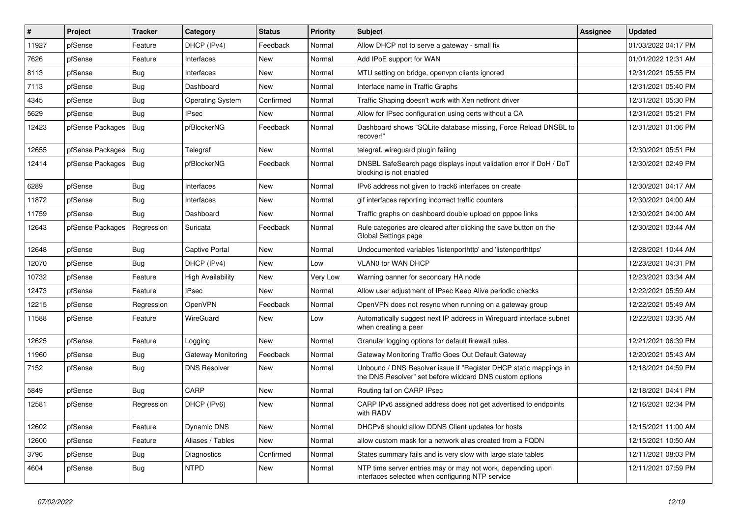| $\vert$ # | Project          | <b>Tracker</b> | Category                  | <b>Status</b> | <b>Priority</b> | <b>Subject</b>                                                                                                                | Assignee | <b>Updated</b>      |
|-----------|------------------|----------------|---------------------------|---------------|-----------------|-------------------------------------------------------------------------------------------------------------------------------|----------|---------------------|
| 11927     | pfSense          | Feature        | DHCP (IPv4)               | Feedback      | Normal          | Allow DHCP not to serve a gateway - small fix                                                                                 |          | 01/03/2022 04:17 PM |
| 7626      | pfSense          | Feature        | Interfaces                | New           | Normal          | Add IPoE support for WAN                                                                                                      |          | 01/01/2022 12:31 AM |
| 8113      | pfSense          | <b>Bug</b>     | Interfaces                | New           | Normal          | MTU setting on bridge, openvpn clients ignored                                                                                |          | 12/31/2021 05:55 PM |
| 7113      | pfSense          | <b>Bug</b>     | Dashboard                 | New           | Normal          | Interface name in Traffic Graphs                                                                                              |          | 12/31/2021 05:40 PM |
| 4345      | pfSense          | Bug            | <b>Operating System</b>   | Confirmed     | Normal          | Traffic Shaping doesn't work with Xen netfront driver                                                                         |          | 12/31/2021 05:30 PM |
| 5629      | pfSense          | Bug            | IPsec                     | New           | Normal          | Allow for IPsec configuration using certs without a CA                                                                        |          | 12/31/2021 05:21 PM |
| 12423     | pfSense Packages | Bug            | pfBlockerNG               | Feedback      | Normal          | Dashboard shows "SQLite database missing, Force Reload DNSBL to<br>recover!"                                                  |          | 12/31/2021 01:06 PM |
| 12655     | pfSense Packages | Bug            | Telegraf                  | New           | Normal          | telegraf, wireguard plugin failing                                                                                            |          | 12/30/2021 05:51 PM |
| 12414     | pfSense Packages | Bug            | pfBlockerNG               | Feedback      | Normal          | DNSBL SafeSearch page displays input validation error if DoH / DoT<br>blocking is not enabled                                 |          | 12/30/2021 02:49 PM |
| 6289      | pfSense          | Bug            | Interfaces                | New           | Normal          | IPv6 address not given to track6 interfaces on create                                                                         |          | 12/30/2021 04:17 AM |
| 11872     | pfSense          | Bug            | Interfaces                | New           | Normal          | gif interfaces reporting incorrect traffic counters                                                                           |          | 12/30/2021 04:00 AM |
| 11759     | pfSense          | Bug            | Dashboard                 | <b>New</b>    | Normal          | Traffic graphs on dashboard double upload on pppoe links                                                                      |          | 12/30/2021 04:00 AM |
| 12643     | pfSense Packages | Regression     | Suricata                  | Feedback      | Normal          | Rule categories are cleared after clicking the save button on the<br>Global Settings page                                     |          | 12/30/2021 03:44 AM |
| 12648     | pfSense          | Bug            | <b>Captive Portal</b>     | New           | Normal          | Undocumented variables 'listenporthttp' and 'listenporthttps'                                                                 |          | 12/28/2021 10:44 AM |
| 12070     | pfSense          | Bug            | DHCP (IPv4)               | New           | Low             | <b>VLAN0 for WAN DHCP</b>                                                                                                     |          | 12/23/2021 04:31 PM |
| 10732     | pfSense          | Feature        | <b>High Availability</b>  | New           | Very Low        | Warning banner for secondary HA node                                                                                          |          | 12/23/2021 03:34 AM |
| 12473     | pfSense          | Feature        | <b>IPsec</b>              | New           | Normal          | Allow user adjustment of IPsec Keep Alive periodic checks                                                                     |          | 12/22/2021 05:59 AM |
| 12215     | pfSense          | Regression     | OpenVPN                   | Feedback      | Normal          | OpenVPN does not resync when running on a gateway group                                                                       |          | 12/22/2021 05:49 AM |
| 11588     | pfSense          | Feature        | WireGuard                 | New           | Low             | Automatically suggest next IP address in Wireguard interface subnet<br>when creating a peer                                   |          | 12/22/2021 03:35 AM |
| 12625     | pfSense          | Feature        | Logging                   | <b>New</b>    | Normal          | Granular logging options for default firewall rules.                                                                          |          | 12/21/2021 06:39 PM |
| 11960     | pfSense          | <b>Bug</b>     | <b>Gateway Monitoring</b> | Feedback      | Normal          | Gateway Monitoring Traffic Goes Out Default Gateway                                                                           |          | 12/20/2021 05:43 AM |
| 7152      | pfSense          | Bug            | <b>DNS Resolver</b>       | New           | Normal          | Unbound / DNS Resolver issue if "Register DHCP static mappings in<br>the DNS Resolver" set before wildcard DNS custom options |          | 12/18/2021 04:59 PM |
| 5849      | pfSense          | Bug            | CARP                      | New           | Normal          | Routing fail on CARP IPsec                                                                                                    |          | 12/18/2021 04:41 PM |
| 12581     | pfSense          | Regression     | DHCP (IPv6)               | New           | Normal          | CARP IPv6 assigned address does not get advertised to endpoints<br>with RADV                                                  |          | 12/16/2021 02:34 PM |
| 12602     | pfSense          | Feature        | Dynamic DNS               | New           | Normal          | DHCPv6 should allow DDNS Client updates for hosts                                                                             |          | 12/15/2021 11:00 AM |
| 12600     | pfSense          | Feature        | Aliases / Tables          | New           | Normal          | allow custom mask for a network alias created from a FQDN                                                                     |          | 12/15/2021 10:50 AM |
| 3796      | pfSense          | <b>Bug</b>     | <b>Diagnostics</b>        | Confirmed     | Normal          | States summary fails and is very slow with large state tables                                                                 |          | 12/11/2021 08:03 PM |
| 4604      | pfSense          | <b>Bug</b>     | <b>NTPD</b>               | New           | Normal          | NTP time server entries may or may not work, depending upon<br>interfaces selected when configuring NTP service               |          | 12/11/2021 07:59 PM |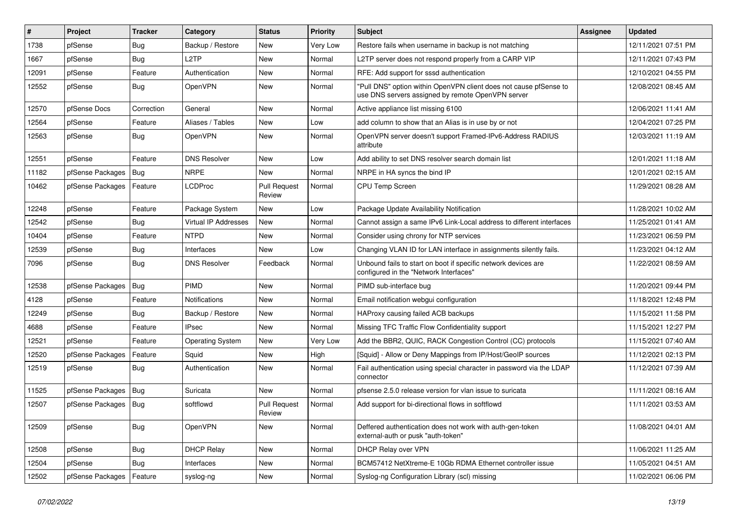| #     | Project                    | <b>Tracker</b> | Category             | <b>Status</b>                 | <b>Priority</b> | <b>Subject</b>                                                                                                         | <b>Assignee</b> | <b>Updated</b>      |
|-------|----------------------------|----------------|----------------------|-------------------------------|-----------------|------------------------------------------------------------------------------------------------------------------------|-----------------|---------------------|
| 1738  | pfSense                    | Bug            | Backup / Restore     | New                           | Very Low        | Restore fails when username in backup is not matching                                                                  |                 | 12/11/2021 07:51 PM |
| 1667  | pfSense                    | <b>Bug</b>     | L <sub>2</sub> TP    | <b>New</b>                    | Normal          | L2TP server does not respond properly from a CARP VIP                                                                  |                 | 12/11/2021 07:43 PM |
| 12091 | pfSense                    | Feature        | Authentication       | New                           | Normal          | RFE: Add support for sssd authentication                                                                               |                 | 12/10/2021 04:55 PM |
| 12552 | pfSense                    | <b>Bug</b>     | <b>OpenVPN</b>       | New                           | Normal          | "Pull DNS" option within OpenVPN client does not cause pfSense to<br>use DNS servers assigned by remote OpenVPN server |                 | 12/08/2021 08:45 AM |
| 12570 | pfSense Docs               | Correction     | General              | New                           | Normal          | Active appliance list missing 6100                                                                                     |                 | 12/06/2021 11:41 AM |
| 12564 | pfSense                    | Feature        | Aliases / Tables     | New                           | Low             | add column to show that an Alias is in use by or not                                                                   |                 | 12/04/2021 07:25 PM |
| 12563 | pfSense                    | Bug            | OpenVPN              | New                           | Normal          | OpenVPN server doesn't support Framed-IPv6-Address RADIUS<br>attribute                                                 |                 | 12/03/2021 11:19 AM |
| 12551 | pfSense                    | Feature        | <b>DNS Resolver</b>  | New                           | Low             | Add ability to set DNS resolver search domain list                                                                     |                 | 12/01/2021 11:18 AM |
| 11182 | pfSense Packages           | Bug            | <b>NRPE</b>          | New                           | Normal          | NRPE in HA syncs the bind IP                                                                                           |                 | 12/01/2021 02:15 AM |
| 10462 | pfSense Packages   Feature |                | <b>LCDProc</b>       | <b>Pull Request</b><br>Review | Normal          | CPU Temp Screen                                                                                                        |                 | 11/29/2021 08:28 AM |
| 12248 | pfSense                    | Feature        | Package System       | New                           | Low             | Package Update Availability Notification                                                                               |                 | 11/28/2021 10:02 AM |
| 12542 | pfSense                    | Bug            | Virtual IP Addresses | New                           | Normal          | Cannot assign a same IPv6 Link-Local address to different interfaces                                                   |                 | 11/25/2021 01:41 AM |
| 10404 | pfSense                    | Feature        | <b>NTPD</b>          | New                           | Normal          | Consider using chrony for NTP services                                                                                 |                 | 11/23/2021 06:59 PM |
| 12539 | pfSense                    | <b>Bug</b>     | Interfaces           | New                           | Low             | Changing VLAN ID for LAN interface in assignments silently fails.                                                      |                 | 11/23/2021 04:12 AM |
| 7096  | pfSense                    | Bug            | <b>DNS Resolver</b>  | Feedback                      | Normal          | Unbound fails to start on boot if specific network devices are<br>configured in the "Network Interfaces"               |                 | 11/22/2021 08:59 AM |
| 12538 | pfSense Packages   Bug     |                | PIMD                 | New                           | Normal          | PIMD sub-interface bug                                                                                                 |                 | 11/20/2021 09:44 PM |
| 4128  | pfSense                    | Feature        | <b>Notifications</b> | New                           | Normal          | Email notification webgui configuration                                                                                |                 | 11/18/2021 12:48 PM |
| 12249 | pfSense                    | Bug            | Backup / Restore     | New                           | Normal          | HAProxy causing failed ACB backups                                                                                     |                 | 11/15/2021 11:58 PM |
| 4688  | pfSense                    | Feature        | <b>IPsec</b>         | New                           | Normal          | Missing TFC Traffic Flow Confidentiality support                                                                       |                 | 11/15/2021 12:27 PM |
| 12521 | pfSense                    | Feature        | Operating System     | New                           | Very Low        | Add the BBR2, QUIC, RACK Congestion Control (CC) protocols                                                             |                 | 11/15/2021 07:40 AM |
| 12520 | pfSense Packages           | Feature        | Squid                | New                           | High            | [Squid] - Allow or Deny Mappings from IP/Host/GeoIP sources                                                            |                 | 11/12/2021 02:13 PM |
| 12519 | pfSense                    | <b>Bug</b>     | Authentication       | New                           | Normal          | Fail authentication using special character in password via the LDAP<br>connector                                      |                 | 11/12/2021 07:39 AM |
| 11525 | pfSense Packages   Bug     |                | Suricata             | New                           | Normal          | pfsense 2.5.0 release version for vlan issue to suricata                                                               |                 | 11/11/2021 08:16 AM |
| 12507 | pfSense Packages   Bug     |                | softflowd            | <b>Pull Request</b><br>Review | Normal          | Add support for bi-directional flows in softflowd                                                                      |                 | 11/11/2021 03:53 AM |
| 12509 | pfSense                    | Bug            | OpenVPN              | New                           | Normal          | Deffered authentication does not work with auth-gen-token<br>external-auth or pusk "auth-token"                        |                 | 11/08/2021 04:01 AM |
| 12508 | pfSense                    | Bug            | <b>DHCP Relay</b>    | New                           | Normal          | DHCP Relay over VPN                                                                                                    |                 | 11/06/2021 11:25 AM |
| 12504 | pfSense                    | <b>Bug</b>     | Interfaces           | New                           | Normal          | BCM57412 NetXtreme-E 10Gb RDMA Ethernet controller issue                                                               |                 | 11/05/2021 04:51 AM |
| 12502 | pfSense Packages           | Feature        | syslog-ng            | New                           | Normal          | Syslog-ng Configuration Library (scl) missing                                                                          |                 | 11/02/2021 06:06 PM |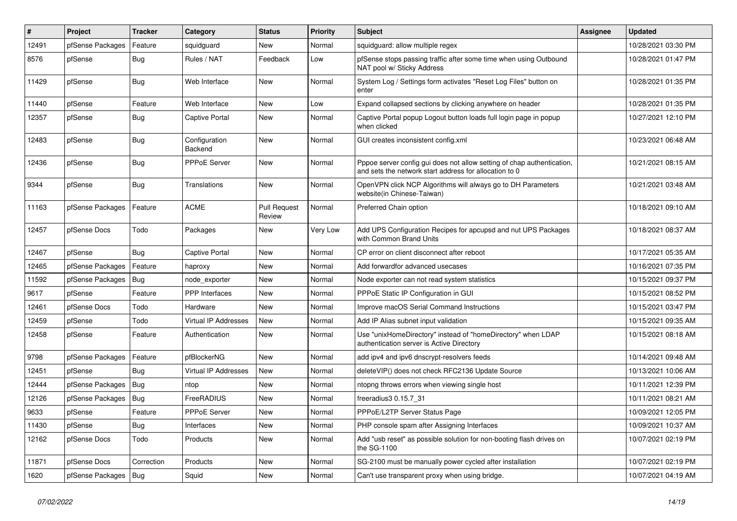| $\vert$ # | Project                | <b>Tracker</b> | Category                        | <b>Status</b>          | <b>Priority</b> | <b>Subject</b>                                                                                                                   | <b>Assignee</b> | <b>Updated</b>      |
|-----------|------------------------|----------------|---------------------------------|------------------------|-----------------|----------------------------------------------------------------------------------------------------------------------------------|-----------------|---------------------|
| 12491     | pfSense Packages       | Feature        | squidguard                      | New                    | Normal          | squidguard: allow multiple regex                                                                                                 |                 | 10/28/2021 03:30 PM |
| 8576      | pfSense                | <b>Bug</b>     | Rules / NAT                     | Feedback               | Low             | pfSense stops passing traffic after some time when using Outbound<br>NAT pool w/ Sticky Address                                  |                 | 10/28/2021 01:47 PM |
| 11429     | pfSense                | <b>Bug</b>     | Web Interface                   | <b>New</b>             | Normal          | System Log / Settings form activates "Reset Log Files" button on<br>enter                                                        |                 | 10/28/2021 01:35 PM |
| 11440     | pfSense                | Feature        | Web Interface                   | New                    | Low             | Expand collapsed sections by clicking anywhere on header                                                                         |                 | 10/28/2021 01:35 PM |
| 12357     | pfSense                | Bug            | <b>Captive Portal</b>           | New                    | Normal          | Captive Portal popup Logout button loads full login page in popup<br>when clicked                                                |                 | 10/27/2021 12:10 PM |
| 12483     | pfSense                | <b>Bug</b>     | Configuration<br><b>Backend</b> | New                    | Normal          | GUI creates inconsistent config.xml                                                                                              |                 | 10/23/2021 06:48 AM |
| 12436     | pfSense                | <b>Bug</b>     | PPPoE Server                    | New                    | Normal          | Pppoe server config gui does not allow setting of chap authentication,<br>and sets the network start address for allocation to 0 |                 | 10/21/2021 08:15 AM |
| 9344      | pfSense                | <b>Bug</b>     | Translations                    | New                    | Normal          | OpenVPN click NCP Algorithms will always go to DH Parameters<br>website(in Chinese-Taiwan)                                       |                 | 10/21/2021 03:48 AM |
| 11163     | pfSense Packages       | Feature        | <b>ACME</b>                     | Pull Request<br>Review | Normal          | Preferred Chain option                                                                                                           |                 | 10/18/2021 09:10 AM |
| 12457     | pfSense Docs           | Todo           | Packages                        | New                    | Very Low        | Add UPS Configuration Recipes for apcupsd and nut UPS Packages<br>with Common Brand Units                                        |                 | 10/18/2021 08:37 AM |
| 12467     | pfSense                | Bug            | <b>Captive Portal</b>           | <b>New</b>             | Normal          | CP error on client disconnect after reboot                                                                                       |                 | 10/17/2021 05:35 AM |
| 12465     | pfSense Packages       | Feature        | haproxy                         | New                    | Normal          | Add forwardfor advanced usecases                                                                                                 |                 | 10/16/2021 07:35 PM |
| 11592     | pfSense Packages       | Bug            | node_exporter                   | New                    | Normal          | Node exporter can not read system statistics                                                                                     |                 | 10/15/2021 09:37 PM |
| 9617      | pfSense                | Feature        | PPP Interfaces                  | New                    | Normal          | PPPoE Static IP Configuration in GUI                                                                                             |                 | 10/15/2021 08:52 PM |
| 12461     | pfSense Docs           | Todo           | Hardware                        | New                    | Normal          | Improve macOS Serial Command Instructions                                                                                        |                 | 10/15/2021 03:47 PM |
| 12459     | pfSense                | Todo           | <b>Virtual IP Addresses</b>     | <b>New</b>             | Normal          | Add IP Alias subnet input validation                                                                                             |                 | 10/15/2021 09:35 AM |
| 12458     | pfSense                | Feature        | Authentication                  | New                    | Normal          | Use "unixHomeDirectory" instead of "homeDirectory" when LDAP<br>authentication server is Active Directory                        |                 | 10/15/2021 08:18 AM |
| 9798      | pfSense Packages       | Feature        | pfBlockerNG                     | <b>New</b>             | Normal          | add ipv4 and ipv6 dnscrypt-resolvers feeds                                                                                       |                 | 10/14/2021 09:48 AM |
| 12451     | pfSense                | Bug            | <b>Virtual IP Addresses</b>     | New                    | Normal          | deleteVIP() does not check RFC2136 Update Source                                                                                 |                 | 10/13/2021 10:06 AM |
| 12444     | pfSense Packages       | Bug            | ntop                            | New                    | Normal          | ntopng throws errors when viewing single host                                                                                    |                 | 10/11/2021 12:39 PM |
| 12126     | pfSense Packages       | Bug            | FreeRADIUS                      | New                    | Normal          | freeradius3 0.15.7 31                                                                                                            |                 | 10/11/2021 08:21 AM |
| 9633      | pfSense                | Feature        | PPPoE Server                    | New                    | Normal          | PPPoE/L2TP Server Status Page                                                                                                    |                 | 10/09/2021 12:05 PM |
| 11430     | pfSense                | Bug            | Interfaces                      | New                    | Normal          | PHP console spam after Assigning Interfaces                                                                                      |                 | 10/09/2021 10:37 AM |
| 12162     | pfSense Docs           | Todo           | Products                        | New                    | Normal          | Add "usb reset" as possible solution for non-booting flash drives on<br>the SG-1100                                              |                 | 10/07/2021 02:19 PM |
| 11871     | pfSense Docs           | Correction     | Products                        | New                    | Normal          | SG-2100 must be manually power cycled after installation                                                                         |                 | 10/07/2021 02:19 PM |
| 1620      | pfSense Packages   Bug |                | Squid                           | New                    | Normal          | Can't use transparent proxy when using bridge.                                                                                   |                 | 10/07/2021 04:19 AM |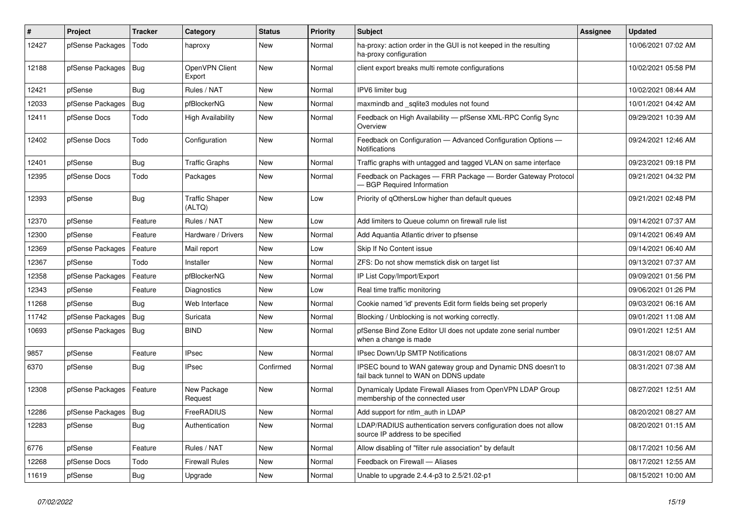| #     | Project                | <b>Tracker</b> | Category                        | <b>Status</b> | <b>Priority</b> | <b>Subject</b>                                                                                        | <b>Assignee</b> | <b>Updated</b>      |
|-------|------------------------|----------------|---------------------------------|---------------|-----------------|-------------------------------------------------------------------------------------------------------|-----------------|---------------------|
| 12427 | pfSense Packages       | Todo           | haproxy                         | New           | Normal          | ha-proxy: action order in the GUI is not keeped in the resulting<br>ha-proxy configuration            |                 | 10/06/2021 07:02 AM |
| 12188 | pfSense Packages       | Bug            | OpenVPN Client<br>Export        | New           | Normal          | client export breaks multi remote configurations                                                      |                 | 10/02/2021 05:58 PM |
| 12421 | pfSense                | Bug            | Rules / NAT                     | New           | Normal          | IPV6 limiter bug                                                                                      |                 | 10/02/2021 08:44 AM |
| 12033 | pfSense Packages       | Bug            | pfBlockerNG                     | New           | Normal          | maxmindb and sqlite3 modules not found                                                                |                 | 10/01/2021 04:42 AM |
| 12411 | pfSense Docs           | Todo           | <b>High Availability</b>        | New           | Normal          | Feedback on High Availability - pfSense XML-RPC Config Sync<br>Overview                               |                 | 09/29/2021 10:39 AM |
| 12402 | pfSense Docs           | Todo           | Configuration                   | <b>New</b>    | Normal          | Feedback on Configuration - Advanced Configuration Options -<br><b>Notifications</b>                  |                 | 09/24/2021 12:46 AM |
| 12401 | pfSense                | Bug            | <b>Traffic Graphs</b>           | New           | Normal          | Traffic graphs with untagged and tagged VLAN on same interface                                        |                 | 09/23/2021 09:18 PM |
| 12395 | pfSense Docs           | Todo           | Packages                        | New           | Normal          | Feedback on Packages - FRR Package - Border Gateway Protocol<br><b>BGP Required Information</b>       |                 | 09/21/2021 04:32 PM |
| 12393 | pfSense                | Bug            | <b>Traffic Shaper</b><br>(ALTQ) | New           | Low             | Priority of gOthersLow higher than default queues                                                     |                 | 09/21/2021 02:48 PM |
| 12370 | pfSense                | Feature        | Rules / NAT                     | New           | Low             | Add limiters to Queue column on firewall rule list                                                    |                 | 09/14/2021 07:37 AM |
| 12300 | pfSense                | Feature        | Hardware / Drivers              | New           | Normal          | Add Aquantia Atlantic driver to pfsense                                                               |                 | 09/14/2021 06:49 AM |
| 12369 | pfSense Packages       | Feature        | Mail report                     | New           | Low             | Skip If No Content issue                                                                              |                 | 09/14/2021 06:40 AM |
| 12367 | pfSense                | Todo           | Installer                       | New           | Normal          | ZFS: Do not show memstick disk on target list                                                         |                 | 09/13/2021 07:37 AM |
| 12358 | pfSense Packages       | Feature        | pfBlockerNG                     | New           | Normal          | IP List Copy/Import/Export                                                                            |                 | 09/09/2021 01:56 PM |
| 12343 | pfSense                | Feature        | Diagnostics                     | <b>New</b>    | Low             | Real time traffic monitoring                                                                          |                 | 09/06/2021 01:26 PM |
| 11268 | pfSense                | Bug            | Web Interface                   | New           | Normal          | Cookie named 'id' prevents Edit form fields being set properly                                        |                 | 09/03/2021 06:16 AM |
| 11742 | pfSense Packages       | Bug            | Suricata                        | New           | Normal          | Blocking / Unblocking is not working correctly.                                                       |                 | 09/01/2021 11:08 AM |
| 10693 | pfSense Packages       | Bug            | <b>BIND</b>                     | New           | Normal          | pfSense Bind Zone Editor UI does not update zone serial number<br>when a change is made               |                 | 09/01/2021 12:51 AM |
| 9857  | pfSense                | Feature        | <b>IPsec</b>                    | <b>New</b>    | Normal          | IPsec Down/Up SMTP Notifications                                                                      |                 | 08/31/2021 08:07 AM |
| 6370  | pfSense                | Bug            | <b>IPsec</b>                    | Confirmed     | Normal          | IPSEC bound to WAN gateway group and Dynamic DNS doesn't to<br>fail back tunnel to WAN on DDNS update |                 | 08/31/2021 07:38 AM |
| 12308 | pfSense Packages       | Feature        | New Package<br>Request          | New           | Normal          | Dynamicaly Update Firewall Aliases from OpenVPN LDAP Group<br>membership of the connected user        |                 | 08/27/2021 12:51 AM |
| 12286 | pfSense Packages   Bug |                | FreeRADIUS                      | New           | Normal          | Add support for ntlm auth in LDAP                                                                     |                 | 08/20/2021 08:27 AM |
| 12283 | pfSense                | <b>Bug</b>     | Authentication                  | New           | Normal          | LDAP/RADIUS authentication servers configuration does not allow<br>source IP address to be specified  |                 | 08/20/2021 01:15 AM |
| 6776  | pfSense                | Feature        | Rules / NAT                     | New           | Normal          | Allow disabling of "filter rule association" by default                                               |                 | 08/17/2021 10:56 AM |
| 12268 | pfSense Docs           | Todo           | <b>Firewall Rules</b>           | New           | Normal          | Feedback on Firewall - Aliases                                                                        |                 | 08/17/2021 12:55 AM |
| 11619 | pfSense                | Bug            | Upgrade                         | New           | Normal          | Unable to upgrade 2.4.4-p3 to 2.5/21.02-p1                                                            |                 | 08/15/2021 10:00 AM |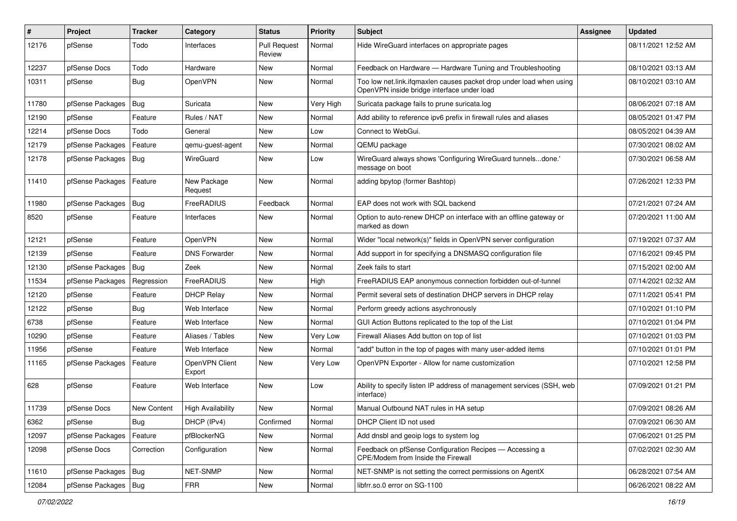| #     | Project                | <b>Tracker</b>     | Category                 | <b>Status</b>                 | <b>Priority</b> | <b>Subject</b>                                                                                                    | <b>Assignee</b> | <b>Updated</b>      |
|-------|------------------------|--------------------|--------------------------|-------------------------------|-----------------|-------------------------------------------------------------------------------------------------------------------|-----------------|---------------------|
| 12176 | pfSense                | Todo               | Interfaces               | <b>Pull Request</b><br>Review | Normal          | Hide WireGuard interfaces on appropriate pages                                                                    |                 | 08/11/2021 12:52 AM |
| 12237 | pfSense Docs           | Todo               | Hardware                 | New                           | Normal          | Feedback on Hardware - Hardware Tuning and Troubleshooting                                                        |                 | 08/10/2021 03:13 AM |
| 10311 | pfSense                | <b>Bug</b>         | OpenVPN                  | New                           | Normal          | Too low net.link.ifqmaxlen causes packet drop under load when using<br>OpenVPN inside bridge interface under load |                 | 08/10/2021 03:10 AM |
| 11780 | pfSense Packages       | Bug                | Suricata                 | New                           | Very High       | Suricata package fails to prune suricata.log                                                                      |                 | 08/06/2021 07:18 AM |
| 12190 | pfSense                | Feature            | Rules / NAT              | New                           | Normal          | Add ability to reference ipv6 prefix in firewall rules and aliases                                                |                 | 08/05/2021 01:47 PM |
| 12214 | pfSense Docs           | Todo               | General                  | <b>New</b>                    | Low             | Connect to WebGui.                                                                                                |                 | 08/05/2021 04:39 AM |
| 12179 | pfSense Packages       | Feature            | qemu-guest-agent         | New                           | Normal          | QEMU package                                                                                                      |                 | 07/30/2021 08:02 AM |
| 12178 | pfSense Packages   Bug |                    | WireGuard                | New                           | Low             | WireGuard always shows 'Configuring WireGuard tunnelsdone.'<br>message on boot                                    |                 | 07/30/2021 06:58 AM |
| 11410 | pfSense Packages       | Feature            | New Package<br>Request   | New                           | Normal          | adding bpytop (former Bashtop)                                                                                    |                 | 07/26/2021 12:33 PM |
| 11980 | pfSense Packages       | Bug                | FreeRADIUS               | Feedback                      | Normal          | EAP does not work with SQL backend                                                                                |                 | 07/21/2021 07:24 AM |
| 8520  | pfSense                | Feature            | Interfaces               | New                           | Normal          | Option to auto-renew DHCP on interface with an offline gateway or<br>marked as down                               |                 | 07/20/2021 11:00 AM |
| 12121 | pfSense                | Feature            | OpenVPN                  | New                           | Normal          | Wider "local network(s)" fields in OpenVPN server configuration                                                   |                 | 07/19/2021 07:37 AM |
| 12139 | pfSense                | Feature            | <b>DNS Forwarder</b>     | New                           | Normal          | Add support in for specifying a DNSMASQ configuration file                                                        |                 | 07/16/2021 09:45 PM |
| 12130 | pfSense Packages       | Bug                | Zeek                     | New                           | Normal          | Zeek fails to start                                                                                               |                 | 07/15/2021 02:00 AM |
| 11534 | pfSense Packages       | Regression         | FreeRADIUS               | New                           | High            | FreeRADIUS EAP anonymous connection forbidden out-of-tunnel                                                       |                 | 07/14/2021 02:32 AM |
| 12120 | pfSense                | Feature            | <b>DHCP Relay</b>        | <b>New</b>                    | Normal          | Permit several sets of destination DHCP servers in DHCP relay                                                     |                 | 07/11/2021 05:41 PM |
| 12122 | pfSense                | Bug                | Web Interface            | New                           | Normal          | Perform greedy actions asychronously                                                                              |                 | 07/10/2021 01:10 PM |
| 6738  | pfSense                | Feature            | Web Interface            | New                           | Normal          | GUI Action Buttons replicated to the top of the List                                                              |                 | 07/10/2021 01:04 PM |
| 10290 | pfSense                | Feature            | Aliases / Tables         | <b>New</b>                    | Very Low        | Firewall Aliases Add button on top of list                                                                        |                 | 07/10/2021 01:03 PM |
| 11956 | pfSense                | Feature            | Web Interface            | New                           | Normal          | "add" button in the top of pages with many user-added items                                                       |                 | 07/10/2021 01:01 PM |
| 11165 | pfSense Packages       | Feature            | OpenVPN Client<br>Export | New                           | Very Low        | OpenVPN Exporter - Allow for name customization                                                                   |                 | 07/10/2021 12:58 PM |
| 628   | pfSense                | Feature            | Web Interface            | New                           | Low             | Ability to specify listen IP address of management services (SSH, web<br>interface)                               |                 | 07/09/2021 01:21 PM |
| 11739 | pfSense Docs           | <b>New Content</b> | <b>High Availability</b> | New                           | Normal          | Manual Outbound NAT rules in HA setup                                                                             |                 | 07/09/2021 08:26 AM |
| 6362  | pfSense                | <b>Bug</b>         | DHCP (IPv4)              | Confirmed                     | Normal          | DHCP Client ID not used                                                                                           |                 | 07/09/2021 06:30 AM |
| 12097 | pfSense Packages       | Feature            | pfBlockerNG              | New                           | Normal          | Add dnsbl and geoip logs to system log                                                                            |                 | 07/06/2021 01:25 PM |
| 12098 | pfSense Docs           | Correction         | Configuration            | New                           | Normal          | Feedback on pfSense Configuration Recipes - Accessing a<br>CPE/Modem from Inside the Firewall                     |                 | 07/02/2021 02:30 AM |
| 11610 | pfSense Packages   Bug |                    | NET-SNMP                 | New                           | Normal          | NET-SNMP is not setting the correct permissions on AgentX                                                         |                 | 06/28/2021 07:54 AM |
| 12084 | pfSense Packages   Bug |                    | FRR                      | New                           | Normal          | libfrr.so.0 error on SG-1100                                                                                      |                 | 06/26/2021 08:22 AM |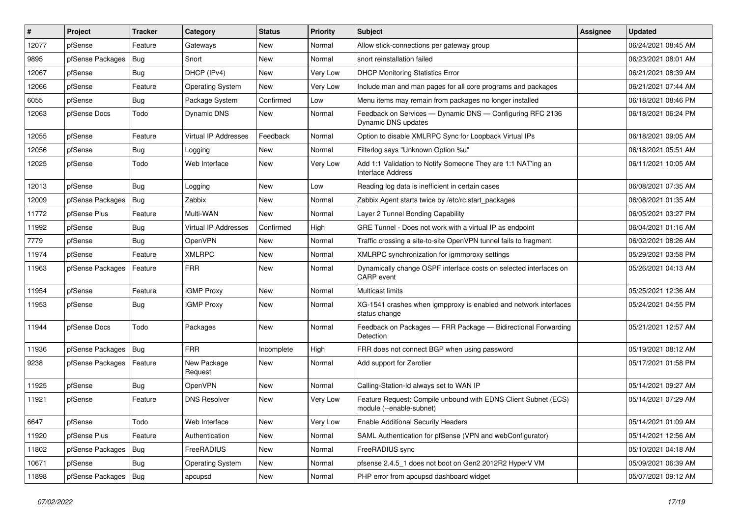| $\vert$ # | Project          | <b>Tracker</b> | Category                    | <b>Status</b> | <b>Priority</b> | <b>Subject</b>                                                                             | <b>Assignee</b> | <b>Updated</b>      |
|-----------|------------------|----------------|-----------------------------|---------------|-----------------|--------------------------------------------------------------------------------------------|-----------------|---------------------|
| 12077     | pfSense          | Feature        | Gateways                    | New           | Normal          | Allow stick-connections per gateway group                                                  |                 | 06/24/2021 08:45 AM |
| 9895      | pfSense Packages | Bug            | Snort                       | New           | Normal          | snort reinstallation failed                                                                |                 | 06/23/2021 08:01 AM |
| 12067     | pfSense          | <b>Bug</b>     | DHCP (IPv4)                 | New           | Very Low        | <b>DHCP Monitoring Statistics Error</b>                                                    |                 | 06/21/2021 08:39 AM |
| 12066     | pfSense          | Feature        | <b>Operating System</b>     | <b>New</b>    | Very Low        | Include man and man pages for all core programs and packages                               |                 | 06/21/2021 07:44 AM |
| 6055      | pfSense          | Bug            | Package System              | Confirmed     | Low             | Menu items may remain from packages no longer installed                                    |                 | 06/18/2021 08:46 PM |
| 12063     | pfSense Docs     | Todo           | Dynamic DNS                 | New           | Normal          | Feedback on Services - Dynamic DNS - Configuring RFC 2136<br>Dynamic DNS updates           |                 | 06/18/2021 06:24 PM |
| 12055     | pfSense          | Feature        | <b>Virtual IP Addresses</b> | Feedback      | Normal          | Option to disable XMLRPC Sync for Loopback Virtual IPs                                     |                 | 06/18/2021 09:05 AM |
| 12056     | pfSense          | <b>Bug</b>     | Logging                     | New           | Normal          | Filterlog says "Unknown Option %u"                                                         |                 | 06/18/2021 05:51 AM |
| 12025     | pfSense          | Todo           | Web Interface               | New           | Very Low        | Add 1:1 Validation to Notify Someone They are 1:1 NAT'ing an<br><b>Interface Address</b>   |                 | 06/11/2021 10:05 AM |
| 12013     | pfSense          | Bug            | Logging                     | <b>New</b>    | Low             | Reading log data is inefficient in certain cases                                           |                 | 06/08/2021 07:35 AM |
| 12009     | pfSense Packages | Bug            | Zabbix                      | New           | Normal          | Zabbix Agent starts twice by /etc/rc.start packages                                        |                 | 06/08/2021 01:35 AM |
| 11772     | pfSense Plus     | Feature        | Multi-WAN                   | <b>New</b>    | Normal          | Layer 2 Tunnel Bonding Capability                                                          |                 | 06/05/2021 03:27 PM |
| 11992     | pfSense          | Bug            | Virtual IP Addresses        | Confirmed     | High            | GRE Tunnel - Does not work with a virtual IP as endpoint                                   |                 | 06/04/2021 01:16 AM |
| 7779      | pfSense          | Bug            | OpenVPN                     | <b>New</b>    | Normal          | Traffic crossing a site-to-site OpenVPN tunnel fails to fragment.                          |                 | 06/02/2021 08:26 AM |
| 11974     | pfSense          | Feature        | <b>XMLRPC</b>               | New           | Normal          | XMLRPC synchronization for igmmproxy settings                                              |                 | 05/29/2021 03:58 PM |
| 11963     | pfSense Packages | Feature        | <b>FRR</b>                  | New           | Normal          | Dynamically change OSPF interface costs on selected interfaces on<br>CARP event            |                 | 05/26/2021 04:13 AM |
| 11954     | pfSense          | Feature        | <b>IGMP Proxy</b>           | <b>New</b>    | Normal          | <b>Multicast limits</b>                                                                    |                 | 05/25/2021 12:36 AM |
| 11953     | pfSense          | Bug            | <b>IGMP Proxy</b>           | New           | Normal          | XG-1541 crashes when igmpproxy is enabled and network interfaces<br>status change          |                 | 05/24/2021 04:55 PM |
| 11944     | pfSense Docs     | Todo           | Packages                    | New           | Normal          | Feedback on Packages - FRR Package - Bidirectional Forwarding<br>Detection                 |                 | 05/21/2021 12:57 AM |
| 11936     | pfSense Packages | Bug            | <b>FRR</b>                  | Incomplete    | High            | FRR does not connect BGP when using password                                               |                 | 05/19/2021 08:12 AM |
| 9238      | pfSense Packages | Feature        | New Package<br>Request      | New           | Normal          | Add support for Zerotier                                                                   |                 | 05/17/2021 01:58 PM |
| 11925     | pfSense          | Bug            | OpenVPN                     | New           | Normal          | Calling-Station-Id always set to WAN IP                                                    |                 | 05/14/2021 09:27 AM |
| 11921     | pfSense          | Feature        | <b>DNS Resolver</b>         | New           | Very Low        | Feature Request: Compile unbound with EDNS Client Subnet (ECS)<br>module (--enable-subnet) |                 | 05/14/2021 07:29 AM |
| 6647      | pfSense          | Todo           | Web Interface               | New           | Very Low        | <b>Enable Additional Security Headers</b>                                                  |                 | 05/14/2021 01:09 AM |
| 11920     | pfSense Plus     | Feature        | Authentication              | New           | Normal          | SAML Authentication for pfSense (VPN and webConfigurator)                                  |                 | 05/14/2021 12:56 AM |
| 11802     | pfSense Packages | <b>Bug</b>     | FreeRADIUS                  | New           | Normal          | FreeRADIUS sync                                                                            |                 | 05/10/2021 04:18 AM |
| 10671     | pfSense          | <b>Bug</b>     | <b>Operating System</b>     | New           | Normal          | pfsense 2.4.5_1 does not boot on Gen2 2012R2 HyperV VM                                     |                 | 05/09/2021 06:39 AM |
| 11898     | pfSense Packages | Bug            | apcupsd                     | New           | Normal          | PHP error from apcupsd dashboard widget                                                    |                 | 05/07/2021 09:12 AM |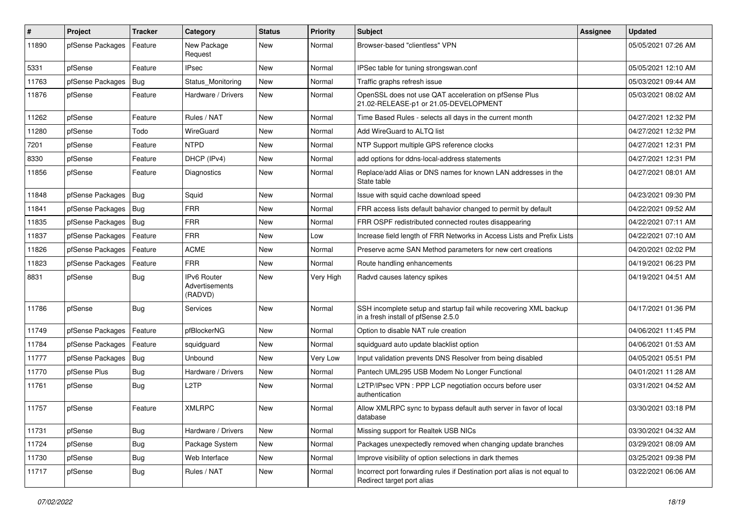| #     | Project          | <b>Tracker</b> | Category                                 | <b>Status</b> | <b>Priority</b> | <b>Subject</b>                                                                                           | <b>Assignee</b> | <b>Updated</b>      |
|-------|------------------|----------------|------------------------------------------|---------------|-----------------|----------------------------------------------------------------------------------------------------------|-----------------|---------------------|
| 11890 | pfSense Packages | Feature        | New Package<br>Request                   | New           | Normal          | Browser-based "clientless" VPN                                                                           |                 | 05/05/2021 07:26 AM |
| 5331  | pfSense          | Feature        | <b>IPsec</b>                             | New           | Normal          | IPSec table for tuning strongswan.conf                                                                   |                 | 05/05/2021 12:10 AM |
| 11763 | pfSense Packages | Bug            | Status Monitoring                        | New           | Normal          | Traffic graphs refresh issue                                                                             |                 | 05/03/2021 09:44 AM |
| 11876 | pfSense          | Feature        | Hardware / Drivers                       | New           | Normal          | OpenSSL does not use QAT acceleration on pfSense Plus<br>21.02-RELEASE-p1 or 21.05-DEVELOPMENT           |                 | 05/03/2021 08:02 AM |
| 11262 | pfSense          | Feature        | Rules / NAT                              | New           | Normal          | Time Based Rules - selects all days in the current month                                                 |                 | 04/27/2021 12:32 PM |
| 11280 | pfSense          | Todo           | WireGuard                                | New           | Normal          | Add WireGuard to ALTQ list                                                                               |                 | 04/27/2021 12:32 PM |
| 7201  | pfSense          | Feature        | <b>NTPD</b>                              | New           | Normal          | NTP Support multiple GPS reference clocks                                                                |                 | 04/27/2021 12:31 PM |
| 8330  | pfSense          | Feature        | DHCP (IPv4)                              | New           | Normal          | add options for ddns-local-address statements                                                            |                 | 04/27/2021 12:31 PM |
| 11856 | pfSense          | Feature        | Diagnostics                              | New           | Normal          | Replace/add Alias or DNS names for known LAN addresses in the<br>State table                             |                 | 04/27/2021 08:01 AM |
| 11848 | pfSense Packages | Bug            | Squid                                    | New           | Normal          | Issue with squid cache download speed                                                                    |                 | 04/23/2021 09:30 PM |
| 11841 | pfSense Packages | <b>Bug</b>     | <b>FRR</b>                               | New           | Normal          | FRR access lists default bahavior changed to permit by default                                           |                 | 04/22/2021 09:52 AM |
| 11835 | pfSense Packages | Bug            | <b>FRR</b>                               | New           | Normal          | FRR OSPF redistributed connected routes disappearing                                                     |                 | 04/22/2021 07:11 AM |
| 11837 | pfSense Packages | Feature        | <b>FRR</b>                               | New           | Low             | Increase field length of FRR Networks in Access Lists and Prefix Lists                                   |                 | 04/22/2021 07:10 AM |
| 11826 | pfSense Packages | Feature        | <b>ACME</b>                              | New           | Normal          | Preserve acme SAN Method parameters for new cert creations                                               |                 | 04/20/2021 02:02 PM |
| 11823 | pfSense Packages | Feature        | <b>FRR</b>                               | New           | Normal          | Route handling enhancements                                                                              |                 | 04/19/2021 06:23 PM |
| 8831  | pfSense          | Bug            | IPv6 Router<br>Advertisements<br>(RADVD) | New           | Very High       | Radvd causes latency spikes                                                                              |                 | 04/19/2021 04:51 AM |
| 11786 | pfSense          | Bug            | Services                                 | New           | Normal          | SSH incomplete setup and startup fail while recovering XML backup<br>in a fresh install of pfSense 2.5.0 |                 | 04/17/2021 01:36 PM |
| 11749 | pfSense Packages | Feature        | pfBlockerNG                              | New           | Normal          | Option to disable NAT rule creation                                                                      |                 | 04/06/2021 11:45 PM |
| 11784 | pfSense Packages | Feature        | squidguard                               | New           | Normal          | squidguard auto update blacklist option                                                                  |                 | 04/06/2021 01:53 AM |
| 11777 | pfSense Packages | Bug            | Unbound                                  | New           | Very Low        | Input validation prevents DNS Resolver from being disabled                                               |                 | 04/05/2021 05:51 PM |
| 11770 | pfSense Plus     | <b>Bug</b>     | Hardware / Drivers                       | New           | Normal          | Pantech UML295 USB Modem No Longer Functional                                                            |                 | 04/01/2021 11:28 AM |
| 11761 | pfSense          | <b>Bug</b>     | L <sub>2</sub> TP                        | New           | Normal          | L2TP/IPsec VPN : PPP LCP negotiation occurs before user<br>authentication                                |                 | 03/31/2021 04:52 AM |
| 11757 | pfSense          | Feature        | <b>XMLRPC</b>                            | New           | Normal          | Allow XMLRPC sync to bypass default auth server in favor of local<br>database                            |                 | 03/30/2021 03:18 PM |
| 11731 | pfSense          | <b>Bug</b>     | Hardware / Drivers                       | New           | Normal          | Missing support for Realtek USB NICs                                                                     |                 | 03/30/2021 04:32 AM |
| 11724 | pfSense          | <b>Bug</b>     | Package System                           | New           | Normal          | Packages unexpectedly removed when changing update branches                                              |                 | 03/29/2021 08:09 AM |
| 11730 | pfSense          | <b>Bug</b>     | Web Interface                            | New           | Normal          | Improve visibility of option selections in dark themes                                                   |                 | 03/25/2021 09:38 PM |
| 11717 | pfSense          | Bug            | Rules / NAT                              | New           | Normal          | Incorrect port forwarding rules if Destination port alias is not equal to<br>Redirect target port alias  |                 | 03/22/2021 06:06 AM |